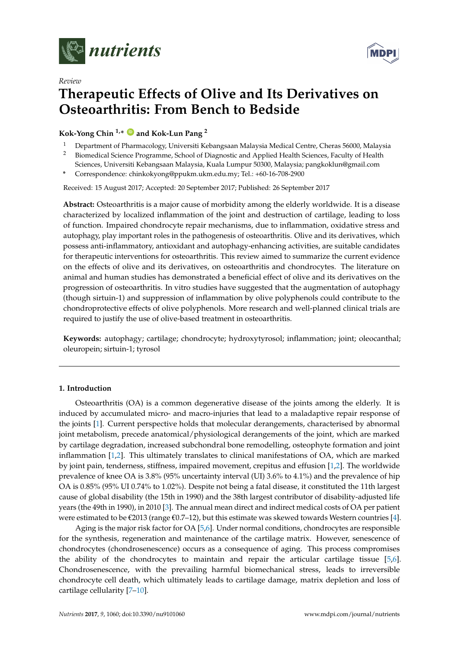

*Review*



# **Therapeutic Effects of Olive and Its Derivatives on Osteoarthritis: From Bench to Bedside**

**Kok-Yong Chin 1,\* [ID](https://orcid.org/0000-0001-6628-1552) and Kok-Lun Pang <sup>2</sup>**

- <sup>1</sup> Department of Pharmacology, Universiti Kebangsaan Malaysia Medical Centre, Cheras 56000, Malaysia<br><sup>2</sup> Biomedical Science Programme, School of Diagnostic and Applied Health Sciences, Eaculty of Health <sup>2</sup> Biomedical Science Programme, School of Diagnostic and Applied Health Sciences, Faculty of Health
- Sciences, Universiti Kebangsaan Malaysia, Kuala Lumpur 50300, Malaysia; pangkoklun@gmail.com

**\*** Correspondence: chinkokyong@ppukm.ukm.edu.my; Tel.: +60-16-708-2900

Received: 15 August 2017; Accepted: 20 September 2017; Published: 26 September 2017

**Abstract:** Osteoarthritis is a major cause of morbidity among the elderly worldwide. It is a disease characterized by localized inflammation of the joint and destruction of cartilage, leading to loss of function. Impaired chondrocyte repair mechanisms, due to inflammation, oxidative stress and autophagy, play important roles in the pathogenesis of osteoarthritis. Olive and its derivatives, which possess anti-inflammatory, antioxidant and autophagy-enhancing activities, are suitable candidates for therapeutic interventions for osteoarthritis. This review aimed to summarize the current evidence on the effects of olive and its derivatives, on osteoarthritis and chondrocytes. The literature on animal and human studies has demonstrated a beneficial effect of olive and its derivatives on the progression of osteoarthritis. In vitro studies have suggested that the augmentation of autophagy (though sirtuin-1) and suppression of inflammation by olive polyphenols could contribute to the chondroprotective effects of olive polyphenols. More research and well-planned clinical trials are required to justify the use of olive-based treatment in osteoarthritis.

**Keywords:** autophagy; cartilage; chondrocyte; hydroxytyrosol; inflammation; joint; oleocanthal; oleuropein; sirtuin-1; tyrosol

# **1. Introduction**

Osteoarthritis (OA) is a common degenerative disease of the joints among the elderly. It is induced by accumulated micro- and macro-injuries that lead to a maladaptive repair response of the joints [\[1\]](#page-9-0). Current perspective holds that molecular derangements, characterised by abnormal joint metabolism, precede anatomical/physiological derangements of the joint, which are marked by cartilage degradation, increased subchondral bone remodelling, osteophyte formation and joint inflammation [\[1,](#page-9-0)[2\]](#page-9-1). This ultimately translates to clinical manifestations of OA, which are marked by joint pain, tenderness, stiffness, impaired movement, crepitus and effusion [\[1](#page-9-0)[,2\]](#page-9-1). The worldwide prevalence of knee OA is 3.8% (95% uncertainty interval (UI) 3.6% to 4.1%) and the prevalence of hip OA is 0.85% (95% UI 0.74% to 1.02%). Despite not being a fatal disease, it constituted the 11th largest cause of global disability (the 15th in 1990) and the 38th largest contributor of disability-adjusted life years (the 49th in 1990), in 2010 [\[3\]](#page-9-2). The annual mean direct and indirect medical costs of OA per patient were estimated to be  $\epsilon$ 2013 (range  $\epsilon$ 0.7–12), but this estimate was skewed towards Western countries [\[4\]](#page-9-3).

Aging is the major risk factor for OA [\[5,](#page-9-4)[6\]](#page-9-5). Under normal conditions, chondrocytes are responsible for the synthesis, regeneration and maintenance of the cartilage matrix. However, senescence of chondrocytes (chondrosenescence) occurs as a consequence of aging. This process compromises the ability of the chondrocytes to maintain and repair the articular cartilage tissue [\[5,](#page-9-4)[6\]](#page-9-5). Chondrosenescence, with the prevailing harmful biomechanical stress, leads to irreversible chondrocyte cell death, which ultimately leads to cartilage damage, matrix depletion and loss of cartilage cellularity [\[7–](#page-9-6)[10\]](#page-10-0).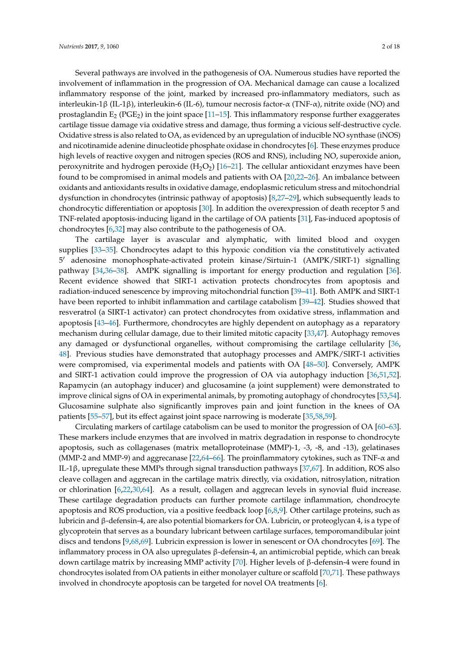Several pathways are involved in the pathogenesis of OA. Numerous studies have reported the involvement of inflammation in the progression of OA. Mechanical damage can cause a localized inflammatory response of the joint, marked by increased pro-inflammatory mediators, such as interleukin-1β (IL-1β), interleukin-6 (IL-6), tumour necrosis factor-α (TNF-α), nitrite oxide (NO) and prostaglandin  $E_2$  (PGE<sub>2</sub>) in the joint space [\[11](#page-10-1)[–15\]](#page-10-2). This inflammatory response further exaggerates cartilage tissue damage via oxidative stress and damage, thus forming a vicious self-destructive cycle. Oxidative stress is also related to OA, as evidenced by an upregulation of inducible NO synthase (iNOS) and nicotinamide adenine dinucleotide phosphate oxidase in chondrocytes [\[6\]](#page-9-5). These enzymes produce high levels of reactive oxygen and nitrogen species (ROS and RNS), including NO, superoxide anion, peroxynitrite and hydrogen peroxide  $(H_2O_2)$  [\[16–](#page-10-3)[21\]](#page-10-4). The cellular antioxidant enzymes have been found to be compromised in animal models and patients with OA [\[20](#page-10-5)[,22](#page-10-6)[–26\]](#page-10-7). An imbalance between oxidants and antioxidants results in oxidative damage, endoplasmic reticulum stress and mitochondrial dysfunction in chondrocytes (intrinsic pathway of apoptosis) [\[8,](#page-9-7)[27–](#page-11-0)[29\]](#page-11-1), which subsequently leads to chondrocytic differentiation or apoptosis [\[30\]](#page-11-2). In addition the overexpression of death receptor 5 and TNF-related apoptosis-inducing ligand in the cartilage of OA patients [\[31\]](#page-11-3), Fas-induced apoptosis of chondrocytes [\[6](#page-9-5)[,32\]](#page-11-4) may also contribute to the pathogenesis of OA.

The cartilage layer is avascular and alymphatic, with limited blood and oxygen supplies [\[33–](#page-11-5)[35\]](#page-11-6). Chondrocytes adapt to this hypoxic condition via the constitutively activated 5 <sup>0</sup> adenosine monophosphate-activated protein kinase/Sirtuin-1 (AMPK/SIRT-1) signalling pathway [\[34,](#page-11-7)[36](#page-11-8)[–38\]](#page-11-9). AMPK signalling is important for energy production and regulation [\[36\]](#page-11-8). Recent evidence showed that SIRT-1 activation protects chondrocytes from apoptosis and radiation-induced senescence by improving mitochondrial function [\[39–](#page-11-10)[41\]](#page-11-11). Both AMPK and SIRT-1 have been reported to inhibit inflammation and cartilage catabolism [\[39](#page-11-10)[–42\]](#page-11-12). Studies showed that resveratrol (a SIRT-1 activator) can protect chondrocytes from oxidative stress, inflammation and apoptosis [\[43–](#page-11-13)[46\]](#page-12-0). Furthermore, chondrocytes are highly dependent on autophagy as a reparatory mechanism during cellular damage, due to their limited mitotic capacity [\[33,](#page-11-5)[47\]](#page-12-1). Autophagy removes any damaged or dysfunctional organelles, without compromising the cartilage cellularity [\[36,](#page-11-8) [48\]](#page-12-2). Previous studies have demonstrated that autophagy processes and AMPK/SIRT-1 activities were compromised, via experimental models and patients with OA [\[48](#page-12-2)[–50\]](#page-12-3). Conversely, AMPK and SIRT-1 activation could improve the progression of OA via autophagy induction [\[36,](#page-11-8)[51,](#page-12-4)[52\]](#page-12-5). Rapamycin (an autophagy inducer) and glucosamine (a joint supplement) were demonstrated to improve clinical signs of OA in experimental animals, by promoting autophagy of chondrocytes [\[53](#page-12-6)[,54\]](#page-12-7). Glucosamine sulphate also significantly improves pain and joint function in the knees of OA patients [\[55](#page-12-8)[–57\]](#page-12-9), but its effect against joint space narrowing is moderate [\[35](#page-11-6)[,58,](#page-12-10)[59\]](#page-12-11).

Circulating markers of cartilage catabolism can be used to monitor the progression of OA [\[60–](#page-12-12)[63\]](#page-12-13). These markers include enzymes that are involved in matrix degradation in response to chondrocyte apoptosis, such as collagenases (matrix metalloproteinase (MMP)-1, -3, -8, and -13), gelatinases (MMP-2 and MMP-9) and aggrecanase [\[22](#page-10-6)[,64](#page-13-0)[–66\]](#page-13-1). The proinflammatory cytokines, such as TNF-α and IL-1β, upregulate these MMPs through signal transduction pathways [\[37,](#page-11-14)[67\]](#page-13-2). In addition, ROS also cleave collagen and aggrecan in the cartilage matrix directly, via oxidation, nitrosylation, nitration or chlorination [\[6](#page-9-5)[,22](#page-10-6)[,30](#page-11-2)[,64\]](#page-13-0). As a result, collagen and aggrecan levels in synovial fluid increase. These cartilage degradation products can further promote cartilage inflammation, chondrocyte apoptosis and ROS production, via a positive feedback loop [\[6](#page-9-5)[,8](#page-9-7)[,9\]](#page-10-8). Other cartilage proteins, such as lubricin and β-defensin-4, are also potential biomarkers for OA. Lubricin, or proteoglycan 4, is a type of glycoprotein that serves as a boundary lubricant between cartilage surfaces, temporomandibular joint discs and tendons [\[9,](#page-10-8)[68,](#page-13-3)[69\]](#page-13-4). Lubricin expression is lower in senescent or OA chondrocytes [\[69\]](#page-13-4). The inflammatory process in OA also upregulates β-defensin-4, an antimicrobial peptide, which can break down cartilage matrix by increasing MMP activity [\[70\]](#page-13-5). Higher levels of β-defensin-4 were found in chondrocytes isolated from OA patients in either monolayer culture or scaffold [\[70,](#page-13-5)[71\]](#page-13-6). These pathways involved in chondrocyte apoptosis can be targeted for novel OA treatments [\[6\]](#page-9-5).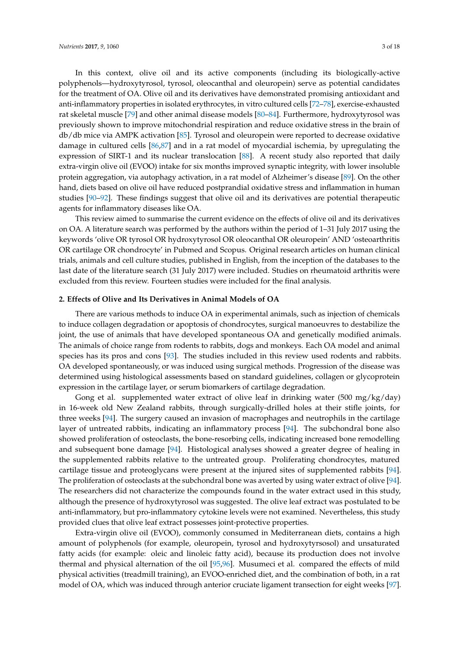In this context, olive oil and its active components (including its biologically-active polyphenols—hydroxytyrosol, tyrosol, oleocanthal and oleuropein) serve as potential candidates for the treatment of OA. Olive oil and its derivatives have demonstrated promising antioxidant and anti-inflammatory properties in isolated erythrocytes, in vitro cultured cells [\[72–](#page-13-7)[78\]](#page-13-8), exercise-exhausted rat skeletal muscle [\[79\]](#page-13-9) and other animal disease models [\[80–](#page-13-10)[84\]](#page-14-0). Furthermore, hydroxytyrosol was previously shown to improve mitochondrial respiration and reduce oxidative stress in the brain of db/db mice via AMPK activation [\[85\]](#page-14-1). Tyrosol and oleuropein were reported to decrease oxidative damage in cultured cells [\[86,](#page-14-2)[87\]](#page-14-3) and in a rat model of myocardial ischemia, by upregulating the expression of SIRT-1 and its nuclear translocation [\[88\]](#page-14-4). A recent study also reported that daily extra-virgin olive oil (EVOO) intake for six months improved synaptic integrity, with lower insoluble protein aggregation, via autophagy activation, in a rat model of Alzheimer's disease [\[89\]](#page-14-5). On the other hand, diets based on olive oil have reduced postprandial oxidative stress and inflammation in human studies [\[90](#page-14-6)[–92\]](#page-14-7). These findings suggest that olive oil and its derivatives are potential therapeutic agents for inflammatory diseases like OA.

This review aimed to summarise the current evidence on the effects of olive oil and its derivatives on OA. A literature search was performed by the authors within the period of 1–31 July 2017 using the keywords 'olive OR tyrosol OR hydroxytyrosol OR oleocanthal OR oleuropein' AND 'osteoarthritis OR cartilage OR chondrocyte' in Pubmed and Scopus. Original research articles on human clinical trials, animals and cell culture studies, published in English, from the inception of the databases to the last date of the literature search (31 July 2017) were included. Studies on rheumatoid arthritis were excluded from this review. Fourteen studies were included for the final analysis.

## **2. Effects of Olive and Its Derivatives in Animal Models of OA**

There are various methods to induce OA in experimental animals, such as injection of chemicals to induce collagen degradation or apoptosis of chondrocytes, surgical manoeuvres to destabilize the joint, the use of animals that have developed spontaneous OA and genetically modified animals. The animals of choice range from rodents to rabbits, dogs and monkeys. Each OA model and animal species has its pros and cons [\[93\]](#page-14-8). The studies included in this review used rodents and rabbits. OA developed spontaneously, or was induced using surgical methods. Progression of the disease was determined using histological assessments based on standard guidelines, collagen or glycoprotein expression in the cartilage layer, or serum biomarkers of cartilage degradation.

Gong et al. supplemented water extract of olive leaf in drinking water  $(500 \text{ mg/kg/day})$ in 16-week old New Zealand rabbits, through surgically-drilled holes at their stifle joints, for three weeks [\[94\]](#page-14-9). The surgery caused an invasion of macrophages and neutrophils in the cartilage layer of untreated rabbits, indicating an inflammatory process [\[94\]](#page-14-9). The subchondral bone also showed proliferation of osteoclasts, the bone-resorbing cells, indicating increased bone remodelling and subsequent bone damage [\[94\]](#page-14-9). Histological analyses showed a greater degree of healing in the supplemented rabbits relative to the untreated group. Proliferating chondrocytes, matured cartilage tissue and proteoglycans were present at the injured sites of supplemented rabbits [\[94\]](#page-14-9). The proliferation of osteoclasts at the subchondral bone was averted by using water extract of olive [\[94\]](#page-14-9). The researchers did not characterize the compounds found in the water extract used in this study, although the presence of hydroxytyrosol was suggested. The olive leaf extract was postulated to be anti-inflammatory, but pro-inflammatory cytokine levels were not examined. Nevertheless, this study provided clues that olive leaf extract possesses joint-protective properties.

Extra-virgin olive oil (EVOO), commonly consumed in Mediterranean diets, contains a high amount of polyphenols (for example, oleuropein, tyrosol and hydroxytyrsosol) and unsaturated fatty acids (for example: oleic and linoleic fatty acid), because its production does not involve thermal and physical alternation of the oil [\[95,](#page-14-10)[96\]](#page-14-11). Musumeci et al. compared the effects of mild physical activities (treadmill training), an EVOO-enriched diet, and the combination of both, in a rat model of OA, which was induced through anterior cruciate ligament transection for eight weeks [\[97\]](#page-14-12).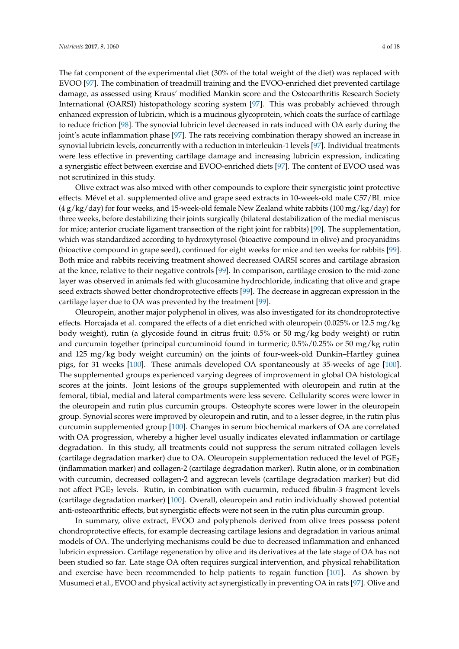The fat component of the experimental diet (30% of the total weight of the diet) was replaced with EVOO [\[97\]](#page-14-12). The combination of treadmill training and the EVOO-enriched diet prevented cartilage damage, as assessed using Kraus' modified Mankin score and the Osteoarthritis Research Society International (OARSI) histopathology scoring system [\[97\]](#page-14-12). This was probably achieved through enhanced expression of lubricin, which is a mucinous glycoprotein, which coats the surface of cartilage to reduce friction [\[98\]](#page-14-13). The synovial lubricin level decreased in rats induced with OA early during the joint's acute inflammation phase [\[97\]](#page-14-12). The rats receiving combination therapy showed an increase in synovial lubricin levels, concurrently with a reduction in interleukin-1 levels [\[97\]](#page-14-12). Individual treatments were less effective in preventing cartilage damage and increasing lubricin expression, indicating a synergistic effect between exercise and EVOO-enriched diets [\[97\]](#page-14-12). The content of EVOO used was not scrutinized in this study.

Olive extract was also mixed with other compounds to explore their synergistic joint protective effects. Mével et al. supplemented olive and grape seed extracts in 10-week-old male C57/BL mice  $(4 g/kg/day)$  for four weeks, and 15-week-old female New Zealand white rabbits (100 mg/kg/day) for three weeks, before destabilizing their joints surgically (bilateral destabilization of the medial meniscus for mice; anterior cruciate ligament transection of the right joint for rabbits) [\[99\]](#page-15-0). The supplementation, which was standardized according to hydroxytyrosol (bioactive compound in olive) and procyanidins (bioactive compound in grape seed), continued for eight weeks for mice and ten weeks for rabbits [\[99\]](#page-15-0). Both mice and rabbits receiving treatment showed decreased OARSI scores and cartilage abrasion at the knee, relative to their negative controls [\[99\]](#page-15-0). In comparison, cartilage erosion to the mid-zone layer was observed in animals fed with glucosamine hydrochloride, indicating that olive and grape seed extracts showed better chondroprotective effects [\[99\]](#page-15-0). The decrease in aggrecan expression in the cartilage layer due to OA was prevented by the treatment [\[99\]](#page-15-0).

Oleuropein, another major polyphenol in olives, was also investigated for its chondroprotective effects. Horcajada et al. compared the effects of a diet enriched with oleuropein (0.025% or 12.5 mg/kg body weight), rutin (a glycoside found in citrus fruit; 0.5% or 50 mg/kg body weight) or rutin and curcumin together (principal curcuminoid found in turmeric; 0.5%/0.25% or 50 mg/kg rutin and 125 mg/kg body weight curcumin) on the joints of four-week-old Dunkin–Hartley guinea pigs, for 31 weeks [\[100\]](#page-15-1). These animals developed OA spontaneously at 35-weeks of age [\[100\]](#page-15-1). The supplemented groups experienced varying degrees of improvement in global OA histological scores at the joints. Joint lesions of the groups supplemented with oleuropein and rutin at the femoral, tibial, medial and lateral compartments were less severe. Cellularity scores were lower in the oleuropein and rutin plus curcumin groups. Osteophyte scores were lower in the oleuropein group. Synovial scores were improved by oleuropein and rutin, and to a lesser degree, in the rutin plus curcumin supplemented group [\[100\]](#page-15-1). Changes in serum biochemical markers of OA are correlated with OA progression, whereby a higher level usually indicates elevated inflammation or cartilage degradation. In this study, all treatments could not suppress the serum nitrated collagen levels (cartilage degradation marker) due to OA. Oleuropein supplementation reduced the level of  $PGE_2$ (inflammation marker) and collagen-2 (cartilage degradation marker). Rutin alone, or in combination with curcumin, decreased collagen-2 and aggrecan levels (cartilage degradation marker) but did not affect PGE<sub>2</sub> levels. Rutin, in combination with cucurmin, reduced fibulin-3 fragment levels (cartilage degradation marker) [\[100\]](#page-15-1). Overall, oleuropein and rutin individually showed potential anti-osteoarthritic effects, but synergistic effects were not seen in the rutin plus curcumin group.

In summary, olive extract, EVOO and polyphenols derived from olive trees possess potent chondroprotective effects, for example decreasing cartilage lesions and degradation in various animal models of OA. The underlying mechanisms could be due to decreased inflammation and enhanced lubricin expression. Cartilage regeneration by olive and its derivatives at the late stage of OA has not been studied so far. Late stage OA often requires surgical intervention, and physical rehabilitation and exercise have been recommended to help patients to regain function [\[101\]](#page-15-2). As shown by Musumeci et al., EVOO and physical activity act synergistically in preventing OA in rats [\[97\]](#page-14-12). Olive and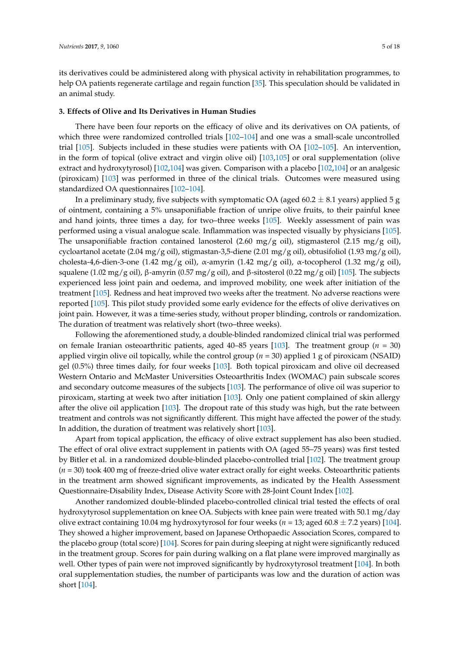its derivatives could be administered along with physical activity in rehabilitation programmes, to help OA patients regenerate cartilage and regain function [\[35\]](#page-11-6). This speculation should be validated in an animal study.

#### **3. Effects of Olive and Its Derivatives in Human Studies**

There have been four reports on the efficacy of olive and its derivatives on OA patients, of which three were randomized controlled trials [\[102](#page-15-3)[–104\]](#page-15-4) and one was a small-scale uncontrolled trial [\[105\]](#page-15-5). Subjects included in these studies were patients with OA [\[102–](#page-15-3)[105\]](#page-15-5). An intervention, in the form of topical (olive extract and virgin olive oil) [\[103](#page-15-6)[,105\]](#page-15-5) or oral supplementation (olive extract and hydroxytyrosol) [\[102,](#page-15-3)[104\]](#page-15-4) was given. Comparison with a placebo [\[102](#page-15-3)[,104\]](#page-15-4) or an analgesic (piroxicam) [\[103\]](#page-15-6) was performed in three of the clinical trials. Outcomes were measured using standardized OA questionnaires [\[102](#page-15-3)[–104\]](#page-15-4).

In a preliminary study, five subjects with symptomatic OA (aged 60.2  $\pm$  8.1 years) applied 5 g of ointment, containing a 5% unsaponifiable fraction of unripe olive fruits, to their painful knee and hand joints, three times a day, for two–three weeks [\[105\]](#page-15-5). Weekly assessment of pain was performed using a visual analogue scale. Inflammation was inspected visually by physicians [\[105\]](#page-15-5). The unsaponifiable fraction contained lanosterol (2.60 mg/g oil), stigmasterol (2.15 mg/g oil), cycloartanol acetate (2.04 mg/g oil), stigmastan-3,5-diene (2.01 mg/g oil), obtusifoliol (1.93 mg/g oil), cholesta-4,6-dien-3-one (1.42 mg/g oil), α-amyrin (1.42 mg/g oil), α-tocopherol (1.32 mg/g oil), squalene (1.02 mg/g oil), β-amyrin (0.57 mg/g oil), and β-sitosterol (0.22 mg/g oil) [\[105\]](#page-15-5). The subjects experienced less joint pain and oedema, and improved mobility, one week after initiation of the treatment [\[105\]](#page-15-5). Redness and heat improved two weeks after the treatment. No adverse reactions were reported [\[105\]](#page-15-5). This pilot study provided some early evidence for the effects of olive derivatives on joint pain. However, it was a time-series study, without proper blinding, controls or randomization. The duration of treatment was relatively short (two–three weeks).

Following the aforementioned study, a double-blinded randomized clinical trial was performed on female Iranian osteoarthritic patients, aged 40–85 years [\[103\]](#page-15-6). The treatment group (*n* = 30) applied virgin olive oil topically, while the control group (*n* = 30) applied 1 g of piroxicam (NSAID) gel (0.5%) three times daily, for four weeks [\[103\]](#page-15-6). Both topical piroxicam and olive oil decreased Western Ontario and McMaster Universities Osteoarthritis Index (WOMAC) pain subscale scores and secondary outcome measures of the subjects [\[103\]](#page-15-6). The performance of olive oil was superior to piroxicam, starting at week two after initiation [\[103\]](#page-15-6). Only one patient complained of skin allergy after the olive oil application [\[103\]](#page-15-6). The dropout rate of this study was high, but the rate between treatment and controls was not significantly different. This might have affected the power of the study. In addition, the duration of treatment was relatively short [\[103\]](#page-15-6).

Apart from topical application, the efficacy of olive extract supplement has also been studied. The effect of oral olive extract supplement in patients with OA (aged 55–75 years) was first tested by Bitler et al. in a randomized double-blinded placebo-controlled trial [\[102\]](#page-15-3). The treatment group (*n* = 30) took 400 mg of freeze-dried olive water extract orally for eight weeks. Osteoarthritic patients in the treatment arm showed significant improvements, as indicated by the Health Assessment Questionnaire-Disability Index, Disease Activity Score with 28-Joint Count Index [\[102\]](#page-15-3).

Another randomized double-blinded placebo-controlled clinical trial tested the effects of oral hydroxytyrosol supplementation on knee OA. Subjects with knee pain were treated with 50.1 mg/day olive extract containing 10.04 mg hydroxytyrosol for four weeks ( $n = 13$ ; aged 60.8  $\pm$  7.2 years) [\[104\]](#page-15-4). They showed a higher improvement, based on Japanese Orthopaedic Association Scores, compared to the placebo group (total score) [\[104\]](#page-15-4). Scores for pain during sleeping at night were significantly reduced in the treatment group. Scores for pain during walking on a flat plane were improved marginally as well. Other types of pain were not improved significantly by hydroxytyrosol treatment [\[104\]](#page-15-4). In both oral supplementation studies, the number of participants was low and the duration of action was short [\[104\]](#page-15-4).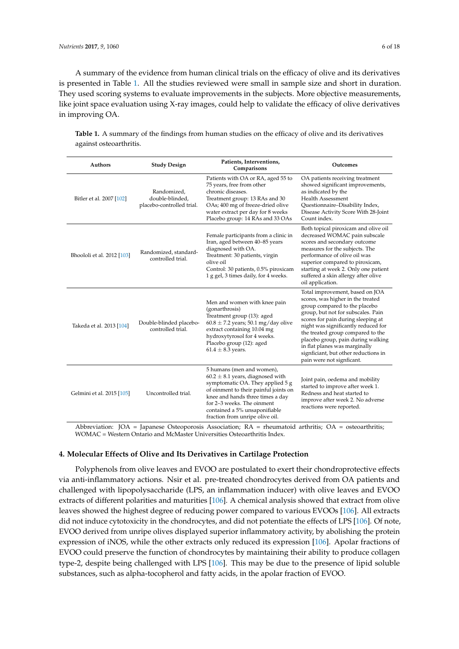A summary of the evidence from human clinical trials on the efficacy of olive and its derivatives is presented in Table [1.](#page-5-0) All the studies reviewed were small in sample size and short in duration. They used scoring systems to evaluate improvements in the subjects. More objective measurements, like joint space evaluation using X-ray images, could help to validate the efficacy of olive derivatives in improving OA.

| <b>Authors</b>             | <b>Study Design</b>                                         | Patients, Interventions,<br>Comparisons                                                                                                                                                                                                                                              | Outcomes                                                                                                                                                                                                                                                                                                                                                                                                  |
|----------------------------|-------------------------------------------------------------|--------------------------------------------------------------------------------------------------------------------------------------------------------------------------------------------------------------------------------------------------------------------------------------|-----------------------------------------------------------------------------------------------------------------------------------------------------------------------------------------------------------------------------------------------------------------------------------------------------------------------------------------------------------------------------------------------------------|
| Bitler et al. 2007 [102]   | Randomized,<br>double-blinded,<br>placebo-controlled trial. | Patients with OA or RA, aged 55 to<br>75 years, free from other<br>chronic diseases.<br>Treatment group: 13 RAs and 30<br>OAs; 400 mg of freeze-dried olive<br>water extract per day for 8 weeks<br>Placebo group: 14 RAs and 33 OAs                                                 | OA patients receiving treatment<br>showed significant improvements,<br>as indicated by the<br><b>Health Assessment</b><br>Questionnaire-Disability Index,<br>Disease Activity Score With 28-Joint<br>Count index.                                                                                                                                                                                         |
| Bhoololi et al. 2012 [103] | Randomized, standard-<br>controlled trial.                  | Female participants from a clinic in<br>Iran, aged between 40-85 years<br>diagnosed with OA.<br>Treatment: 30 patients, virgin<br>olive oil<br>Control: 30 patients, 0.5% piroxicam<br>1 g gel, 3 times daily, for 4 weeks.                                                          | Both topical piroxicam and olive oil<br>decreased WOMAC pain subscale<br>scores and secondary outcome<br>measures for the subjects. The<br>performance of olive oil was<br>superior compared to piroxicam,<br>starting at week 2. Only one patient<br>suffered a skin allergy after olive<br>oil application.                                                                                             |
| Takeda et al. 2013 [104]   | Double-blinded placebo-<br>controlled trial.                | Men and women with knee pain<br>(gonarthrosis)<br>Treatment group (13): aged<br>$60.8 \pm 7.2$ years; 50.1 mg/day olive<br>extract containing 10.04 mg<br>hydroxytyrosol for 4 weeks.<br>Placebo group (12): aged<br>$61.4 \pm 8.3$ years.                                           | Total improvement, based on JOA<br>scores, was higher in the treated<br>group compared to the placebo<br>group, but not for subscales. Pain<br>scores for pain during sleeping at<br>night was significantly reduced for<br>the treated group compared to the<br>placebo group, pain during walking<br>in flat planes was marginally<br>signficiant, but other reductions in<br>pain were not signficant. |
| Gelmini et al. 2015 [105]  | Uncontrolled trial.                                         | 5 humans (men and women),<br>$60.2 \pm 8.1$ years, diagnosed with<br>symptomatic OA. They applied 5 g<br>of oinment to their painful joints on<br>knee and hands three times a day<br>for 2-3 weeks. The oinment<br>contained a 5% unsaponifiable<br>fraction from unripe olive oil. | Joint pain, oedema and mobility<br>started to improve after week 1.<br>Redness and heat started to<br>improve after week 2. No adverse<br>reactions were reported.                                                                                                                                                                                                                                        |

<span id="page-5-0"></span>**Table 1.** A summary of the findings from human studies on the efficacy of olive and its derivatives against osteoarthritis.

Abbreviation: JOA = Japanese Osteoporosis Association; RA = rheumatoid arthritis; OA = osteoarthritis; WOMAC = Western Ontario and McMaster Universities Osteoarthritis Index.

#### **4. Molecular Effects of Olive and Its Derivatives in Cartilage Protection**

Polyphenols from olive leaves and EVOO are postulated to exert their chondroprotective effects via anti-inflammatory actions. Nsir et al. pre-treated chondrocytes derived from OA patients and challenged with lipopolysaccharide (LPS, an inflammation inducer) with olive leaves and EVOO extracts of different polarities and maturities [\[106\]](#page-15-7). A chemical analysis showed that extract from olive leaves showed the highest degree of reducing power compared to various EVOOs [\[106\]](#page-15-7). All extracts did not induce cytotoxicity in the chondrocytes, and did not potentiate the effects of LPS [\[106\]](#page-15-7). Of note, EVOO derived from unripe olives displayed superior inflammatory activity, by abolishing the protein expression of iNOS, while the other extracts only reduced its expression [\[106\]](#page-15-7). Apolar fractions of EVOO could preserve the function of chondrocytes by maintaining their ability to produce collagen type-2, despite being challenged with LPS [\[106\]](#page-15-7). This may be due to the presence of lipid soluble substances, such as alpha-tocopherol and fatty acids, in the apolar fraction of EVOO.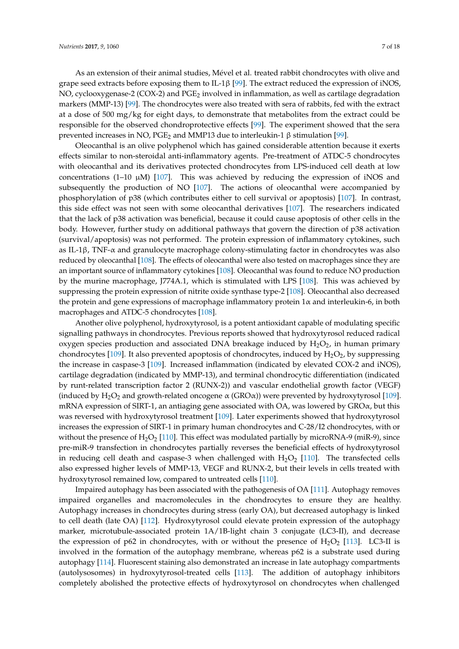As an extension of their animal studies, Mével et al. treated rabbit chondrocytes with olive and grape seed extracts before exposing them to IL-1 $\beta$  [\[99\]](#page-15-0). The extract reduced the expression of iNOS, NO, cyclooxygenase-2 (COX-2) and  $PGE_2$  involved in inflammation, as well as cartilage degradation markers (MMP-13) [\[99\]](#page-15-0). The chondrocytes were also treated with sera of rabbits, fed with the extract at a dose of 500 mg/kg for eight days, to demonstrate that metabolites from the extract could be responsible for the observed chondroprotective effects [\[99\]](#page-15-0). The experiment showed that the sera prevented increases in NO,  $PGE_2$  and MMP13 due to interleukin-1 β stimulation [\[99\]](#page-15-0).

Oleocanthal is an olive polyphenol which has gained considerable attention because it exerts effects similar to non-steroidal anti-inflammatory agents. Pre-treatment of ATDC-5 chondrocytes with oleocanthal and its derivatives protected chondrocytes from LPS-induced cell death at low concentrations (1–10  $\mu$ M) [\[107\]](#page-15-8). This was achieved by reducing the expression of iNOS and subsequently the production of NO [\[107\]](#page-15-8). The actions of oleocanthal were accompanied by phosphorylation of p38 (which contributes either to cell survival or apoptosis) [\[107\]](#page-15-8). In contrast, this side effect was not seen with some oleocanthal derivatives [\[107\]](#page-15-8). The researchers indicated that the lack of p38 activation was beneficial, because it could cause apoptosis of other cells in the body. However, further study on additional pathways that govern the direction of p38 activation (survival/apoptosis) was not performed. The protein expression of inflammatory cytokines, such as IL-1β, TNF- $\alpha$  and granulocyte macrophage colony-stimulating factor in chondrocytes was also reduced by oleocanthal [\[108\]](#page-15-9). The effects of oleocanthal were also tested on macrophages since they are an important source of inflammatory cytokines [\[108\]](#page-15-9). Oleocanthal was found to reduce NO production by the murine macrophage, J774A.1, which is stimulated with LPS [\[108\]](#page-15-9). This was achieved by suppressing the protein expression of nitrite oxide synthase type-2 [\[108\]](#page-15-9). Oleocanthal also decreased the protein and gene expressions of macrophage inflammatory protein  $1\alpha$  and interleukin-6, in both macrophages and ATDC-5 chondrocytes [\[108\]](#page-15-9).

Another olive polyphenol, hydroxytyrosol, is a potent antioxidant capable of modulating specific signalling pathways in chondrocytes. Previous reports showed that hydroxytyrosol reduced radical oxygen species production and associated DNA breakage induced by  $H_2O_2$ , in human primary chondrocytes [\[109\]](#page-15-10). It also prevented apoptosis of chondrocytes, induced by  $H_2O_2$ , by suppressing the increase in caspase-3 [\[109\]](#page-15-10). Increased inflammation (indicated by elevated COX-2 and iNOS), cartilage degradation (indicated by MMP-13), and terminal chondrocytic differentiation (indicated by runt-related transcription factor 2 (RUNX-2)) and vascular endothelial growth factor (VEGF) (induced by  $H_2O_2$  and growth-related oncogene  $\alpha$  (GRO $\alpha$ )) were prevented by hydroxytyrosol [\[109\]](#page-15-10). mRNA expression of SIRT-1, an antiaging gene associated with OA, was lowered by  $\text{GRO}\alpha$ , but this was reversed with hydroxytyrosol treatment [\[109\]](#page-15-10). Later experiments showed that hydroxytyrosol increases the expression of SIRT-1 in primary human chondrocytes and C-28/I2 chondrocytes, with or without the presence of  $H_2O_2$  [\[110\]](#page-15-11). This effect was modulated partially by microRNA-9 (miR-9), since pre-miR-9 transfection in chondrocytes partially reverses the beneficial effects of hydroxytyrosol in reducing cell death and caspase-3 when challenged with  $H_2O_2$  [\[110\]](#page-15-11). The transfected cells also expressed higher levels of MMP-13, VEGF and RUNX-2, but their levels in cells treated with hydroxytyrosol remained low, compared to untreated cells [\[110\]](#page-15-11).

Impaired autophagy has been associated with the pathogenesis of OA [\[111\]](#page-15-12). Autophagy removes impaired organelles and macromolecules in the chondrocytes to ensure they are healthy. Autophagy increases in chondrocytes during stress (early OA), but decreased autophagy is linked to cell death (late OA) [\[112\]](#page-15-13). Hydroxytyrosol could elevate protein expression of the autophagy marker, microtubule-associated protein 1A/1B-light chain 3 conjugate (LC3-II), and decrease the expression of p62 in chondrocytes, with or without the presence of  $H_2O_2$  [\[113\]](#page-15-14). LC3-II is involved in the formation of the autophagy membrane, whereas p62 is a substrate used during autophagy [\[114\]](#page-15-15). Fluorescent staining also demonstrated an increase in late autophagy compartments (autolysosomes) in hydroxytyrosol-treated cells [\[113\]](#page-15-14). The addition of autophagy inhibitors completely abolished the protective effects of hydroxytyrosol on chondrocytes when challenged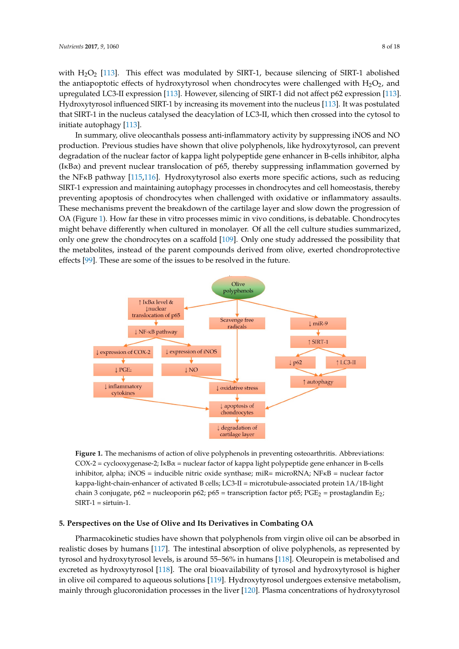with  $H_2O_2$  [\[113\]](#page-15-14). This effect was modulated by SIRT-1, because silencing of SIRT-1 abolished the antiapoptotic effects of hydroxytyrosol when chondrocytes were challenged with  $H_2O_2$ , and upregulated LC3-II expression [\[113\]](#page-15-14). However, silencing of SIRT-1 did not affect p62 expression [\[113\]](#page-15-14). Hydroxytyrosol influenced SIRT-1 by increasing its movement into the nucleus [\[113\]](#page-15-14). It was postulated that SIRT-1 in the nucleus catalysed the deacylation of LC3-II, which then crossed into the cytosol to initiate autophagy [\[113\]](#page-15-14).

In summary, olive oleocanthals possess anti-inflammatory activity by suppressing iNOS and NO production. Previous studies have shown that olive polyphenols, like hydroxytyrosol, can prevent degradation of the nuclear factor of kappa light polypeptide gene enhancer in B-cells inhibitor, alpha *(IκBα) and prevent nuclear translocation of p65, thereby suppressing inflammation governed by* the NFKB pathway [\[115,](#page-15-16)[116\]](#page-15-17). Hydroxytyrosol also exerts more specific actions, such as reducing<br>
prevent degradation of the nuclear factor of the nuclear factor of the nuclear factor of the nuclear factor of the nuclear fac SIRT-1 expression and maintaining autophagy processes in chondrocytes and cell homeostasis, thereby preventing apoptosis of chondrocytes when challenged with oxidative or inflammatory assaults. These mechanisms prevent the breakdown of the cartilage layer and slow down the progression of OA (Figure [1\)](#page-7-0). How far these in vitro processes mimic in vivo conditions, is debatable. Chondrocytes might behave differently when cultured in monolayer. Of all the cell culture studies summarized, only one grew the chondrocytes on a scaffold [\[109\]](#page-15-10). Only one study addressed the possibility that the metabolites, instead of the parent compounds derived from olive, exerted chondroprotective effects  $[99]$ . These are some of the issues to be resolved in the future.  $\epsilon$  inflammation as allows the breakdown of the breakdown of the cartilage layer and slow chondroprotective effects [99]. These are some of the issues to be resolved in the future.

<span id="page-7-0"></span>

**Figure 1.** The mechanisms of action of olive polyphenols in preventing osteoarthritis. Abbreviations: **Figure 1.** The mechanisms of action of olive polyphenols in preventing osteoarthritis. Abbreviations:  $COX$ -2 = cyclooxygenase-2; IκB $\alpha$  = nuclear factor of kappa light polypeptide gene enhancer in B-cells inhibitor, alpha; iNOS = inducible nitric oxide synthase; miR= microRNA; NFĸB = nuclear factor kappa-light-chain-enhancer of activated B cells; LC3-II = microtubule-associated protein 1A/1B-light chain 3 conjugate, p62 = nucleoporin p62; p65 = transcription factor p65; PGE<sub>2</sub> = prostaglandin E<sub>2</sub>;  $SIRT-1 =$  sirtuin-1.

# **5. Perspectives on the Use of Olive and Its Derivatives in Combating OA**

tyrosol and hydroxytyrosol levels, is around 55–56% in humans [118]. Oleuropein is metabolised and Pharmacokinetic studies have shown that polyphenols from virgin olive oil can be absorbed in realistic doses by humans [\[117\]](#page-16-0). The intestinal absorption of olive polyphenols, as represented by tyrosol and hydroxytyrosol levels, is around 55–56% in humans [\[118\]](#page-16-1). Oleuropein is metabolised and excreted as hydroxytyrosol [\[118\]](#page-16-1). The oral bioavailability of tyrosol and hydroxytyrosol is higher  $2.45$  h  $2.5$  h  $2.5$  h  $2.5$  h  $2.5$  and  $2.5$  and  $2.5$  are excreted in urine  $2.5$  are excepted in urine  $2.5$ in olive oil compared to aqueous solutions [ $119$ ]. Hydroxytyrosol undergoes extensive metabolism, mainly through glucoronidation processes in the liver [\[120\]](#page-16-3). Plasma concentrations of hydroxytyrosol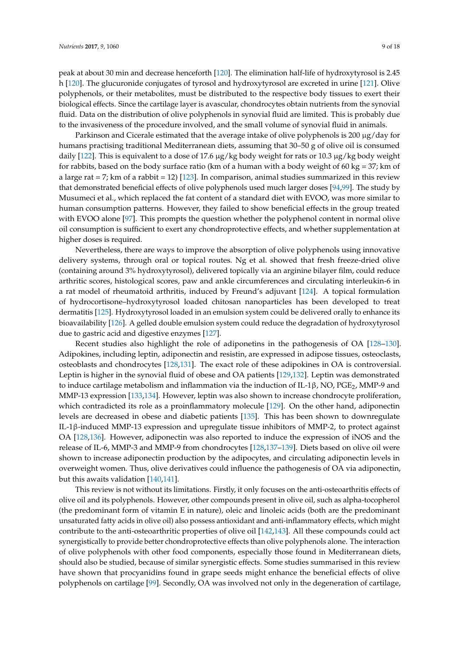peak at about 30 min and decrease henceforth [\[120\]](#page-16-3). The elimination half-life of hydroxytyrosol is 2.45 h [\[120\]](#page-16-3). The glucuronide conjugates of tyrosol and hydroxytyrosol are excreted in urine [\[121\]](#page-16-4). Olive polyphenols, or their metabolites, must be distributed to the respective body tissues to exert their biological effects. Since the cartilage layer is avascular, chondrocytes obtain nutrients from the synovial fluid. Data on the distribution of olive polyphenols in synovial fluid are limited. This is probably due to the invasiveness of the procedure involved, and the small volume of synovial fluid in animals.

Parkinson and Cicerale estimated that the average intake of olive polyphenols is 200  $\mu$ g/day for humans practising traditional Mediterranean diets, assuming that 30–50 g of olive oil is consumed daily [\[122\]](#page-16-5). This is equivalent to a dose of 17.6 µg/kg body weight for rats or 10.3 µg/kg body weight for rabbits, based on the body surface ratio (km of a human with a body weight of 60 kg =  $37$ ; km of a large rat = 7; km of a rabbit = 12) [\[123\]](#page-16-6). In comparison, animal studies summarized in this review that demonstrated beneficial effects of olive polyphenols used much larger doses [\[94,](#page-14-9)[99\]](#page-15-0). The study by Musumeci et al., which replaced the fat content of a standard diet with EVOO, was more similar to human consumption patterns. However, they failed to show beneficial effects in the group treated with EVOO alone [\[97\]](#page-14-12). This prompts the question whether the polyphenol content in normal olive oil consumption is sufficient to exert any chondroprotective effects, and whether supplementation at higher doses is required.

Nevertheless, there are ways to improve the absorption of olive polyphenols using innovative delivery systems, through oral or topical routes. Ng et al. showed that fresh freeze-dried olive (containing around 3% hydroxytyrosol), delivered topically via an arginine bilayer film, could reduce arthritic scores, histological scores, paw and ankle circumferences and circulating interleukin-6 in a rat model of rheumatoid arthritis, induced by Freund's adjuvant [\[124\]](#page-16-7). A topical formulation of hydrocortisone–hydroxytyrosol loaded chitosan nanoparticles has been developed to treat dermatitis [\[125\]](#page-16-8). Hydroxytyrosol loaded in an emulsion system could be delivered orally to enhance its bioavailability [\[126\]](#page-16-9). A gelled double emulsion system could reduce the degradation of hydroxytyrosol due to gastric acid and digestive enzymes [\[127\]](#page-16-10).

Recent studies also highlight the role of adiponetins in the pathogenesis of OA [\[128–](#page-16-11)[130\]](#page-16-12). Adipokines, including leptin, adiponectin and resistin, are expressed in adipose tissues, osteoclasts, osteoblasts and chondrocytes [\[128](#page-16-11)[,131\]](#page-16-13). The exact role of these adipokines in OA is controversial. Leptin is higher in the synovial fluid of obese and OA patients [\[129,](#page-16-14)[132\]](#page-16-15). Leptin was demonstrated to induce cartilage metabolism and inflammation via the induction of IL-1β, NO, PGE<sub>2</sub>, MMP-9 and MMP-13 expression [\[133,](#page-16-16)[134\]](#page-16-17). However, leptin was also shown to increase chondrocyte proliferation, which contradicted its role as a proinflammatory molecule [\[129\]](#page-16-14). On the other hand, adiponectin levels are decreased in obese and diabetic patients [\[135\]](#page-17-0). This has been shown to downregulate IL-1β-induced MMP-13 expression and upregulate tissue inhibitors of MMP-2, to protect against OA [\[128](#page-16-11)[,136\]](#page-17-1). However, adiponectin was also reported to induce the expression of iNOS and the release of IL-6, MMP-3 and MMP-9 from chondrocytes [\[128,](#page-16-11)[137](#page-17-2)[–139\]](#page-17-3). Diets based on olive oil were shown to increase adiponectin production by the adipocytes, and circulating adiponectin levels in overweight women. Thus, olive derivatives could influence the pathogenesis of OA via adiponectin, but this awaits validation [\[140,](#page-17-4)[141\]](#page-17-5).

This review is not without its limitations. Firstly, it only focuses on the anti-osteoarthritis effects of olive oil and its polyphenols. However, other compounds present in olive oil, such as alpha-tocopherol (the predominant form of vitamin E in nature), oleic and linoleic acids (both are the predominant unsaturated fatty acids in olive oil) also possess antioxidant and anti-inflammatory effects, which might contribute to the anti-osteoarthritic properties of olive oil [\[142](#page-17-6)[,143\]](#page-17-7). All these compounds could act synergistically to provide better chondroprotective effects than olive polyphenols alone. The interaction of olive polyphenols with other food components, especially those found in Mediterranean diets, should also be studied, because of similar synergistic effects. Some studies summarised in this review have shown that procyanidins found in grape seeds might enhance the beneficial effects of olive polyphenols on cartilage [\[99\]](#page-15-0). Secondly, OA was involved not only in the degeneration of cartilage,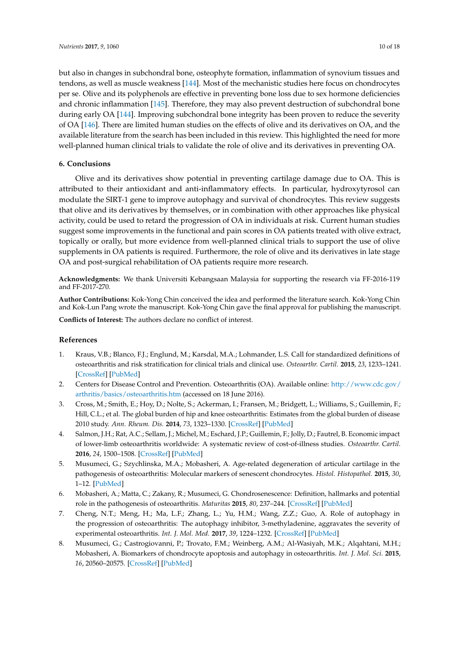but also in changes in subchondral bone, osteophyte formation, inflammation of synovium tissues and tendons, as well as muscle weakness [\[144\]](#page-17-8). Most of the mechanistic studies here focus on chondrocytes per se. Olive and its polyphenols are effective in preventing bone loss due to sex hormone deficiencies and chronic inflammation [\[145\]](#page-17-9). Therefore, they may also prevent destruction of subchondral bone during early OA [\[144\]](#page-17-8). Improving subchondral bone integrity has been proven to reduce the severity of OA [\[146\]](#page-17-10). There are limited human studies on the effects of olive and its derivatives on OA, and the available literature from the search has been included in this review. This highlighted the need for more well-planned human clinical trials to validate the role of olive and its derivatives in preventing OA.

# **6. Conclusions**

Olive and its derivatives show potential in preventing cartilage damage due to OA. This is attributed to their antioxidant and anti-inflammatory effects. In particular, hydroxytyrosol can modulate the SIRT-1 gene to improve autophagy and survival of chondrocytes. This review suggests that olive and its derivatives by themselves, or in combination with other approaches like physical activity, could be used to retard the progression of OA in individuals at risk. Current human studies suggest some improvements in the functional and pain scores in OA patients treated with olive extract, topically or orally, but more evidence from well-planned clinical trials to support the use of olive supplements in OA patients is required. Furthermore, the role of olive and its derivatives in late stage OA and post-surgical rehabilitation of OA patients require more research.

**Acknowledgments:** We thank Universiti Kebangsaan Malaysia for supporting the research via FF-2016-119 and FF-2017-270.

**Author Contributions:** Kok-Yong Chin conceived the idea and performed the literature search. Kok-Yong Chin and Kok-Lun Pang wrote the manuscript. Kok-Yong Chin gave the final approval for publishing the manuscript.

**Conflicts of Interest:** The authors declare no conflict of interest.

## **References**

- <span id="page-9-0"></span>1. Kraus, V.B.; Blanco, F.J.; Englund, M.; Karsdal, M.A.; Lohmander, L.S. Call for standardized definitions of osteoarthritis and risk stratification for clinical trials and clinical use. *Osteoarthr. Cartil.* **2015**, *23*, 1233–1241. [\[CrossRef\]](http://dx.doi.org/10.1016/j.joca.2015.03.036) [\[PubMed\]](http://www.ncbi.nlm.nih.gov/pubmed/25865392)
- <span id="page-9-1"></span>2. Centers for Disease Control and Prevention. Osteoarthritis (OA). Available online: [http://www.cdc.gov/](http://www.cdc.gov/arthritis/basics/osteoarthritis.htm) [arthritis/basics/osteoarthritis.htm](http://www.cdc.gov/arthritis/basics/osteoarthritis.htm) (accessed on 18 June 2016).
- <span id="page-9-2"></span>3. Cross, M.; Smith, E.; Hoy, D.; Nolte, S.; Ackerman, I.; Fransen, M.; Bridgett, L.; Williams, S.; Guillemin, F.; Hill, C.L.; et al. The global burden of hip and knee osteoarthritis: Estimates from the global burden of disease 2010 study. *Ann. Rheum. Dis.* **2014**, *73*, 1323–1330. [\[CrossRef\]](http://dx.doi.org/10.1136/annrheumdis-2013-204763) [\[PubMed\]](http://www.ncbi.nlm.nih.gov/pubmed/24553908)
- <span id="page-9-3"></span>4. Salmon, J.H.; Rat, A.C.; Sellam, J.; Michel, M.; Eschard, J.P.; Guillemin, F.; Jolly, D.; Fautrel, B. Economic impact of lower-limb osteoarthritis worldwide: A systematic review of cost-of-illness studies. *Osteoarthr. Cartil.* **2016**, *24*, 1500–1508. [\[CrossRef\]](http://dx.doi.org/10.1016/j.joca.2016.03.012) [\[PubMed\]](http://www.ncbi.nlm.nih.gov/pubmed/27034093)
- <span id="page-9-4"></span>5. Musumeci, G.; Szychlinska, M.A.; Mobasheri, A. Age-related degeneration of articular cartilage in the pathogenesis of osteoarthritis: Molecular markers of senescent chondrocytes. *Histol. Histopathol.* **2015**, *30*, 1–12. [\[PubMed\]](http://www.ncbi.nlm.nih.gov/pubmed/25010513)
- <span id="page-9-5"></span>6. Mobasheri, A.; Matta, C.; Zakany, R.; Musumeci, G. Chondrosenescence: Definition, hallmarks and potential role in the pathogenesis of osteoarthritis. *Maturitas* **2015**, *80*, 237–244. [\[CrossRef\]](http://dx.doi.org/10.1016/j.maturitas.2014.12.003) [\[PubMed\]](http://www.ncbi.nlm.nih.gov/pubmed/25637957)
- <span id="page-9-6"></span>7. Cheng, N.T.; Meng, H.; Ma, L.F.; Zhang, L.; Yu, H.M.; Wang, Z.Z.; Guo, A. Role of autophagy in the progression of osteoarthritis: The autophagy inhibitor, 3-methyladenine, aggravates the severity of experimental osteoarthritis. *Int. J. Mol. Med.* **2017**, *39*, 1224–1232. [\[CrossRef\]](http://dx.doi.org/10.3892/ijmm.2017.2934) [\[PubMed\]](http://www.ncbi.nlm.nih.gov/pubmed/28339018)
- <span id="page-9-7"></span>8. Musumeci, G.; Castrogiovanni, P.; Trovato, F.M.; Weinberg, A.M.; Al-Wasiyah, M.K.; Alqahtani, M.H.; Mobasheri, A. Biomarkers of chondrocyte apoptosis and autophagy in osteoarthritis. *Int. J. Mol. Sci.* **2015**, *16*, 20560–20575. [\[CrossRef\]](http://dx.doi.org/10.3390/ijms160920560) [\[PubMed\]](http://www.ncbi.nlm.nih.gov/pubmed/26334269)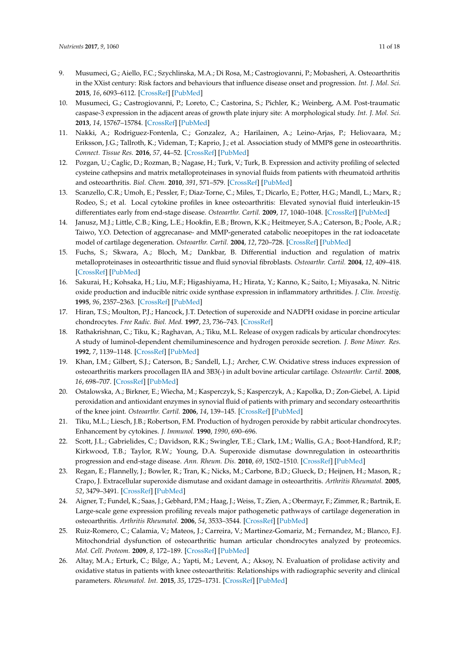- <span id="page-10-8"></span>9. Musumeci, G.; Aiello, F.C.; Szychlinska, M.A.; Di Rosa, M.; Castrogiovanni, P.; Mobasheri, A. Osteoarthritis in the XXist century: Risk factors and behaviours that influence disease onset and progression. *Int. J. Mol. Sci.* **2015**, *16*, 6093–6112. [\[CrossRef\]](http://dx.doi.org/10.3390/ijms16036093) [\[PubMed\]](http://www.ncbi.nlm.nih.gov/pubmed/25785564)
- <span id="page-10-0"></span>10. Musumeci, G.; Castrogiovanni, P.; Loreto, C.; Castorina, S.; Pichler, K.; Weinberg, A.M. Post-traumatic caspase-3 expression in the adjacent areas of growth plate injury site: A morphological study. *Int. J. Mol. Sci.* **2013**, *14*, 15767–15784. [\[CrossRef\]](http://dx.doi.org/10.3390/ijms140815767) [\[PubMed\]](http://www.ncbi.nlm.nih.gov/pubmed/23899790)
- <span id="page-10-1"></span>11. Nakki, A.; Rodriguez-Fontenla, C.; Gonzalez, A.; Harilainen, A.; Leino-Arjas, P.; Heliovaara, M.; Eriksson, J.G.; Tallroth, K.; Videman, T.; Kaprio, J.; et al. Association study of MMP8 gene in osteoarthritis. *Connect. Tissue Res.* **2016**, *57*, 44–52. [\[CrossRef\]](http://dx.doi.org/10.3109/03008207.2015.1099636) [\[PubMed\]](http://www.ncbi.nlm.nih.gov/pubmed/26577236)
- 12. Pozgan, U.; Caglic, D.; Rozman, B.; Nagase, H.; Turk, V.; Turk, B. Expression and activity profiling of selected cysteine cathepsins and matrix metalloproteinases in synovial fluids from patients with rheumatoid arthritis and osteoarthritis. *Biol. Chem.* **2010**, *391*, 571–579. [\[CrossRef\]](http://dx.doi.org/10.1515/bc.2010.035) [\[PubMed\]](http://www.ncbi.nlm.nih.gov/pubmed/20180636)
- 13. Scanzello, C.R.; Umoh, E.; Pessler, F.; Diaz-Torne, C.; Miles, T.; Dicarlo, E.; Potter, H.G.; Mandl, L.; Marx, R.; Rodeo, S.; et al. Local cytokine profiles in knee osteoarthritis: Elevated synovial fluid interleukin-15 differentiates early from end-stage disease. *Osteoarthr. Cartil.* **2009**, *17*, 1040–1048. [\[CrossRef\]](http://dx.doi.org/10.1016/j.joca.2009.02.011) [\[PubMed\]](http://www.ncbi.nlm.nih.gov/pubmed/19289234)
- 14. Janusz, M.J.; Little, C.B.; King, L.E.; Hookfin, E.B.; Brown, K.K.; Heitmeyer, S.A.; Caterson, B.; Poole, A.R.; Taiwo, Y.O. Detection of aggrecanase- and MMP-generated catabolic neoepitopes in the rat iodoacetate model of cartilage degeneration. *Osteoarthr. Cartil.* **2004**, *12*, 720–728. [\[CrossRef\]](http://dx.doi.org/10.1016/j.joca.2004.06.004) [\[PubMed\]](http://www.ncbi.nlm.nih.gov/pubmed/15325638)
- <span id="page-10-2"></span>15. Fuchs, S.; Skwara, A.; Bloch, M.; Dankbar, B. Differential induction and regulation of matrix metalloproteinases in osteoarthritic tissue and fluid synovial fibroblasts. *Osteoarthr. Cartil.* **2004**, *12*, 409–418. [\[CrossRef\]](http://dx.doi.org/10.1016/j.joca.2004.02.005) [\[PubMed\]](http://www.ncbi.nlm.nih.gov/pubmed/15094140)
- <span id="page-10-3"></span>16. Sakurai, H.; Kohsaka, H.; Liu, M.F.; Higashiyama, H.; Hirata, Y.; Kanno, K.; Saito, I.; Miyasaka, N. Nitric oxide production and inducible nitric oxide synthase expression in inflammatory arthritides. *J. Clin. Investig.* **1995**, *96*, 2357–2363. [\[CrossRef\]](http://dx.doi.org/10.1172/JCI118292) [\[PubMed\]](http://www.ncbi.nlm.nih.gov/pubmed/7593623)
- 17. Hiran, T.S.; Moulton, P.J.; Hancock, J.T. Detection of superoxide and NADPH oxidase in porcine articular chondrocytes. *Free Radic. Biol. Med.* **1997**, *23*, 736–743. [\[CrossRef\]](http://dx.doi.org/10.1016/S0891-5849(97)00054-3)
- 18. Rathakrishnan, C.; Tiku, K.; Raghavan, A.; Tiku, M.L. Release of oxygen radicals by articular chondrocytes: A study of luminol-dependent chemiluminescence and hydrogen peroxide secretion. *J. Bone Miner. Res.* **1992**, *7*, 1139–1148. [\[CrossRef\]](http://dx.doi.org/10.1002/jbmr.5650071005) [\[PubMed\]](http://www.ncbi.nlm.nih.gov/pubmed/1280902)
- 19. Khan, I.M.; Gilbert, S.J.; Caterson, B.; Sandell, L.J.; Archer, C.W. Oxidative stress induces expression of osteoarthritis markers procollagen IIA and 3B3(-) in adult bovine articular cartilage. *Osteoarthr. Cartil.* **2008**, *16*, 698–707. [\[CrossRef\]](http://dx.doi.org/10.1016/j.joca.2007.10.004) [\[PubMed\]](http://www.ncbi.nlm.nih.gov/pubmed/18255322)
- <span id="page-10-5"></span>20. Ostalowska, A.; Birkner, E.; Wiecha, M.; Kasperczyk, S.; Kasperczyk, A.; Kapolka, D.; Zon-Giebel, A. Lipid peroxidation and antioxidant enzymes in synovial fluid of patients with primary and secondary osteoarthritis of the knee joint. *Osteoarthr. Cartil.* **2006**, *14*, 139–145. [\[CrossRef\]](http://dx.doi.org/10.1016/j.joca.2005.08.009) [\[PubMed\]](http://www.ncbi.nlm.nih.gov/pubmed/16289733)
- <span id="page-10-4"></span>21. Tiku, M.L.; Liesch, J.B.; Robertson, F.M. Production of hydrogen peroxide by rabbit articular chondrocytes. Enhancement by cytokines. *J. Immunol.* **1990**, *1990*, 690–696.
- <span id="page-10-6"></span>22. Scott, J.L.; Gabrielides, C.; Davidson, R.K.; Swingler, T.E.; Clark, I.M.; Wallis, G.A.; Boot-Handford, R.P.; Kirkwood, T.B.; Taylor, R.W.; Young, D.A. Superoxide dismutase downregulation in osteoarthritis progression and end-stage disease. *Ann. Rheum. Dis.* **2010**, *69*, 1502–1510. [\[CrossRef\]](http://dx.doi.org/10.1136/ard.2009.119966) [\[PubMed\]](http://www.ncbi.nlm.nih.gov/pubmed/20511611)
- 23. Regan, E.; Flannelly, J.; Bowler, R.; Tran, K.; Nicks, M.; Carbone, B.D.; Glueck, D.; Heijnen, H.; Mason, R.; Crapo, J. Extracellular superoxide dismutase and oxidant damage in osteoarthritis. *Arthritis Rheumatol.* **2005**, *52*, 3479–3491. [\[CrossRef\]](http://dx.doi.org/10.1002/art.21387) [\[PubMed\]](http://www.ncbi.nlm.nih.gov/pubmed/16255039)
- 24. Aigner, T.; Fundel, K.; Saas, J.; Gebhard, P.M.; Haag, J.; Weiss, T.; Zien, A.; Obermayr, F.; Zimmer, R.; Bartnik, E. Large-scale gene expression profiling reveals major pathogenetic pathways of cartilage degeneration in osteoarthritis. *Arthritis Rheumatol.* **2006**, *54*, 3533–3544. [\[CrossRef\]](http://dx.doi.org/10.1002/art.22174) [\[PubMed\]](http://www.ncbi.nlm.nih.gov/pubmed/17075858)
- 25. Ruiz-Romero, C.; Calamia, V.; Mateos, J.; Carreira, V.; Martinez-Gomariz, M.; Fernandez, M.; Blanco, F.J. Mitochondrial dysfunction of osteoarthritic human articular chondrocytes analyzed by proteomics. *Mol. Cell. Proteom.* **2009**, *8*, 172–189. [\[CrossRef\]](http://dx.doi.org/10.1074/mcp.M800292-MCP200) [\[PubMed\]](http://www.ncbi.nlm.nih.gov/pubmed/18784066)
- <span id="page-10-7"></span>26. Altay, M.A.; Erturk, C.; Bilge, A.; Yapti, M.; Levent, A.; Aksoy, N. Evaluation of prolidase activity and oxidative status in patients with knee osteoarthritis: Relationships with radiographic severity and clinical parameters. *Rheumatol. Int.* **2015**, *35*, 1725–1731. [\[CrossRef\]](http://dx.doi.org/10.1007/s00296-015-3290-5) [\[PubMed\]](http://www.ncbi.nlm.nih.gov/pubmed/25994092)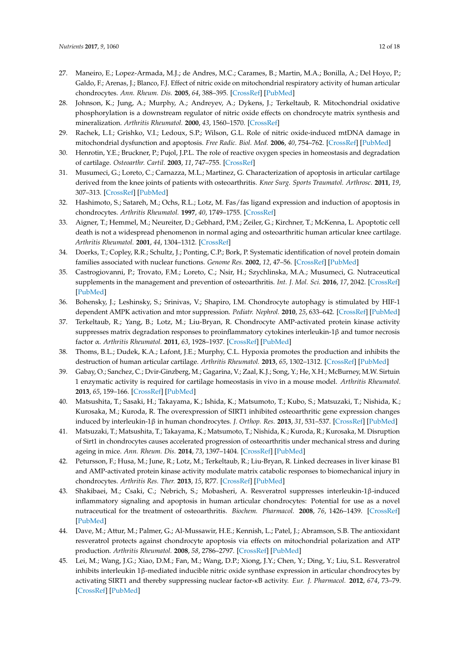- <span id="page-11-0"></span>27. Maneiro, E.; Lopez-Armada, M.J.; de Andres, M.C.; Carames, B.; Martin, M.A.; Bonilla, A.; Del Hoyo, P.; Galdo, F.; Arenas, J.; Blanco, F.J. Effect of nitric oxide on mitochondrial respiratory activity of human articular chondrocytes. *Ann. Rheum. Dis.* **2005**, *64*, 388–395. [\[CrossRef\]](http://dx.doi.org/10.1136/ard.2004.022152) [\[PubMed\]](http://www.ncbi.nlm.nih.gov/pubmed/15708893)
- 28. Johnson, K.; Jung, A.; Murphy, A.; Andreyev, A.; Dykens, J.; Terkeltaub, R. Mitochondrial oxidative phosphorylation is a downstream regulator of nitric oxide effects on chondrocyte matrix synthesis and mineralization. *Arthritis Rheumatol.* **2000**, *43*, 1560–1570. [\[CrossRef\]](http://dx.doi.org/10.1002/1529-0131(200007)43:7<1560::AID-ANR21>3.0.CO;2-S)
- <span id="page-11-1"></span>29. Rachek, L.I.; Grishko, V.I.; Ledoux, S.P.; Wilson, G.L. Role of nitric oxide-induced mtDNA damage in mitochondrial dysfunction and apoptosis. *Free Radic. Biol. Med.* **2006**, *40*, 754–762. [\[CrossRef\]](http://dx.doi.org/10.1016/j.freeradbiomed.2005.09.028) [\[PubMed\]](http://www.ncbi.nlm.nih.gov/pubmed/16520228)
- <span id="page-11-2"></span>30. Henrotin, Y.E.; Bruckner, P.; Pujol, J.P.L. The role of reactive oxygen species in homeostasis and degradation of cartilage. *Osteoarthr. Cartil.* **2003**, *11*, 747–755. [\[CrossRef\]](http://dx.doi.org/10.1016/S1063-4584(03)00150-X)
- <span id="page-11-3"></span>31. Musumeci, G.; Loreto, C.; Carnazza, M.L.; Martinez, G. Characterization of apoptosis in articular cartilage derived from the knee joints of patients with osteoarthritis. *Knee Surg. Sports Traumatol. Arthrosc.* **2011**, *19*, 307–313. [\[CrossRef\]](http://dx.doi.org/10.1007/s00167-010-1215-0) [\[PubMed\]](http://www.ncbi.nlm.nih.gov/pubmed/20644910)
- <span id="page-11-4"></span>32. Hashimoto, S.; Satareh, M.; Ochs, R.L.; Lotz, M. Fas/fas ligand expression and induction of apoptosis in chondrocytes. *Arthritis Rheumatol.* **1997**, *40*, 1749–1755. [\[CrossRef\]](http://dx.doi.org/10.1002/art.1780401004)
- <span id="page-11-5"></span>33. Aigner, T.; Hemmel, M.; Neureiter, D.; Gebhard, P.M.; Zeiler, G.; Kirchner, T.; McKenna, L. Apoptotic cell death is not a widespread phenomenon in normal aging and osteoarthritic human articular knee cartilage. *Arthritis Rheumatol.* **2001**, *44*, 1304–1312. [\[CrossRef\]](http://dx.doi.org/10.1002/1529-0131(200106)44:6<1304::AID-ART222>3.0.CO;2-T)
- <span id="page-11-7"></span>34. Doerks, T.; Copley, R.R.; Schultz, J.; Ponting, C.P.; Bork, P. Systematic identification of novel protein domain families associated with nuclear functions. *Genome Res.* **2002**, *12*, 47–56. [\[CrossRef\]](http://dx.doi.org/10.1101/gr.203201) [\[PubMed\]](http://www.ncbi.nlm.nih.gov/pubmed/11779830)
- <span id="page-11-6"></span>35. Castrogiovanni, P.; Trovato, F.M.; Loreto, C.; Nsir, H.; Szychlinska, M.A.; Musumeci, G. Nutraceutical supplements in the management and prevention of osteoarthritis. *Int. J. Mol. Sci.* **2016**, *17*, 2042. [\[CrossRef\]](http://dx.doi.org/10.3390/ijms17122042) [\[PubMed\]](http://www.ncbi.nlm.nih.gov/pubmed/27929434)
- <span id="page-11-8"></span>36. Bohensky, J.; Leshinsky, S.; Srinivas, V.; Shapiro, I.M. Chondrocyte autophagy is stimulated by HIF-1 dependent AMPK activation and mtor suppression. *Pediatr. Nephrol.* **2010**, *25*, 633–642. [\[CrossRef\]](http://dx.doi.org/10.1007/s00467-009-1310-y) [\[PubMed\]](http://www.ncbi.nlm.nih.gov/pubmed/19830459)
- <span id="page-11-14"></span>37. Terkeltaub, R.; Yang, B.; Lotz, M.; Liu-Bryan, R. Chondrocyte AMP-activated protein kinase activity suppresses matrix degradation responses to proinflammatory cytokines interleukin-1β and tumor necrosis factor α. *Arthritis Rheumatol.* **2011**, *63*, 1928–1937. [\[CrossRef\]](http://dx.doi.org/10.1002/art.30333) [\[PubMed\]](http://www.ncbi.nlm.nih.gov/pubmed/21400477)
- <span id="page-11-9"></span>38. Thoms, B.L.; Dudek, K.A.; Lafont, J.E.; Murphy, C.L. Hypoxia promotes the production and inhibits the destruction of human articular cartilage. *Arthritis Rheumatol.* **2013**, *65*, 1302–1312. [\[CrossRef\]](http://dx.doi.org/10.1002/art.37867) [\[PubMed\]](http://www.ncbi.nlm.nih.gov/pubmed/23334958)
- <span id="page-11-10"></span>39. Gabay, O.; Sanchez, C.; Dvir-Ginzberg, M.; Gagarina, V.; Zaal, K.J.; Song, Y.; He, X.H.; McBurney, M.W. Sirtuin 1 enzymatic activity is required for cartilage homeostasis in vivo in a mouse model. *Arthritis Rheumatol.* **2013**, *65*, 159–166. [\[CrossRef\]](http://dx.doi.org/10.1002/art.37750) [\[PubMed\]](http://www.ncbi.nlm.nih.gov/pubmed/23124828)
- 40. Matsushita, T.; Sasaki, H.; Takayama, K.; Ishida, K.; Matsumoto, T.; Kubo, S.; Matsuzaki, T.; Nishida, K.; Kurosaka, M.; Kuroda, R. The overexpression of SIRT1 inhibited osteoarthritic gene expression changes induced by interleukin-1β in human chondrocytes. *J. Orthop. Res.* **2013**, *31*, 531–537. [\[CrossRef\]](http://dx.doi.org/10.1002/jor.22268) [\[PubMed\]](http://www.ncbi.nlm.nih.gov/pubmed/23143889)
- <span id="page-11-11"></span>41. Matsuzaki, T.; Matsushita, T.; Takayama, K.; Matsumoto, T.; Nishida, K.; Kuroda, R.; Kurosaka, M. Disruption of Sirt1 in chondrocytes causes accelerated progression of osteoarthritis under mechanical stress and during ageing in mice. *Ann. Rheum. Dis.* **2014**, *73*, 1397–1404. [\[CrossRef\]](http://dx.doi.org/10.1136/annrheumdis-2012-202620) [\[PubMed\]](http://www.ncbi.nlm.nih.gov/pubmed/23723318)
- <span id="page-11-12"></span>42. Petursson, F.; Husa, M.; June, R.; Lotz, M.; Terkeltaub, R.; Liu-Bryan, R. Linked decreases in liver kinase B1 and AMP-activated protein kinase activity modulate matrix catabolic responses to biomechanical injury in chondrocytes. *Arthritis Res. Ther.* **2013**, *15*, R77. [\[CrossRef\]](http://dx.doi.org/10.1186/ar4254) [\[PubMed\]](http://www.ncbi.nlm.nih.gov/pubmed/23883619)
- <span id="page-11-13"></span>43. Shakibaei, M.; Csaki, C.; Nebrich, S.; Mobasheri, A. Resveratrol suppresses interleukin-1β-induced inflammatory signaling and apoptosis in human articular chondrocytes: Potential for use as a novel nutraceutical for the treatment of osteoarthritis. *Biochem. Pharmacol.* **2008**, *76*, 1426–1439. [\[CrossRef\]](http://dx.doi.org/10.1016/j.bcp.2008.05.029) [\[PubMed\]](http://www.ncbi.nlm.nih.gov/pubmed/18606398)
- 44. Dave, M.; Attur, M.; Palmer, G.; Al-Mussawir, H.E.; Kennish, L.; Patel, J.; Abramson, S.B. The antioxidant resveratrol protects against chondrocyte apoptosis via effects on mitochondrial polarization and ATP production. *Arthritis Rheumatol.* **2008**, *58*, 2786–2797. [\[CrossRef\]](http://dx.doi.org/10.1002/art.23799) [\[PubMed\]](http://www.ncbi.nlm.nih.gov/pubmed/18759268)
- 45. Lei, M.; Wang, J.G.; Xiao, D.M.; Fan, M.; Wang, D.P.; Xiong, J.Y.; Chen, Y.; Ding, Y.; Liu, S.L. Resveratrol inhibits interleukin 1β-mediated inducible nitric oxide synthase expression in articular chondrocytes by activating SIRT1 and thereby suppressing nuclear factor-κB activity. *Eur. J. Pharmacol.* **2012**, *674*, 73–79. [\[CrossRef\]](http://dx.doi.org/10.1016/j.ejphar.2011.10.015) [\[PubMed\]](http://www.ncbi.nlm.nih.gov/pubmed/22044919)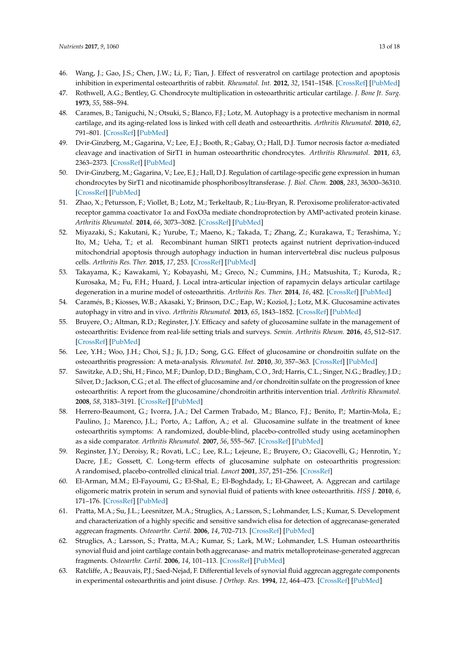- <span id="page-12-0"></span>46. Wang, J.; Gao, J.S.; Chen, J.W.; Li, F.; Tian, J. Effect of resveratrol on cartilage protection and apoptosis inhibition in experimental osteoarthritis of rabbit. *Rheumatol. Int.* **2012**, *32*, 1541–1548. [\[CrossRef\]](http://dx.doi.org/10.1007/s00296-010-1720-y) [\[PubMed\]](http://www.ncbi.nlm.nih.gov/pubmed/21327438)
- <span id="page-12-1"></span>47. Rothwell, A.G.; Bentley, G. Chondrocyte multiplication in osteoarthritic articular cartilage. *J. Bone Jt. Surg.* **1973**, *55*, 588–594.
- <span id="page-12-2"></span>48. Carames, B.; Taniguchi, N.; Otsuki, S.; Blanco, F.J.; Lotz, M. Autophagy is a protective mechanism in normal cartilage, and its aging-related loss is linked with cell death and osteoarthritis. *Arthritis Rheumatol.* **2010**, *62*, 791–801. [\[CrossRef\]](http://dx.doi.org/10.1002/art.27305) [\[PubMed\]](http://www.ncbi.nlm.nih.gov/pubmed/20187128)
- 49. Dvir-Ginzberg, M.; Gagarina, V.; Lee, E.J.; Booth, R.; Gabay, O.; Hall, D.J. Tumor necrosis factor α-mediated cleavage and inactivation of SirT1 in human osteoarthritic chondrocytes. *Arthritis Rheumatol.* **2011**, *63*, 2363–2373. [\[CrossRef\]](http://dx.doi.org/10.1002/art.30279) [\[PubMed\]](http://www.ncbi.nlm.nih.gov/pubmed/21305533)
- <span id="page-12-3"></span>50. Dvir-Ginzberg, M.; Gagarina, V.; Lee, E.J.; Hall, D.J. Regulation of cartilage-specific gene expression in human chondrocytes by SirT1 and nicotinamide phosphoribosyltransferase. *J. Biol. Chem.* **2008**, *283*, 36300–36310. [\[CrossRef\]](http://dx.doi.org/10.1074/jbc.M803196200) [\[PubMed\]](http://www.ncbi.nlm.nih.gov/pubmed/18957417)
- <span id="page-12-4"></span>51. Zhao, X.; Petursson, F.; Viollet, B.; Lotz, M.; Terkeltaub, R.; Liu-Bryan, R. Peroxisome proliferator-activated receptor gamma coactivator 1α and FoxO3a mediate chondroprotection by AMP-activated protein kinase. *Arthritis Rheumatol.* **2014**, *66*, 3073–3082. [\[CrossRef\]](http://dx.doi.org/10.1002/art.38791) [\[PubMed\]](http://www.ncbi.nlm.nih.gov/pubmed/25047750)
- <span id="page-12-5"></span>52. Miyazaki, S.; Kakutani, K.; Yurube, T.; Maeno, K.; Takada, T.; Zhang, Z.; Kurakawa, T.; Terashima, Y.; Ito, M.; Ueha, T.; et al. Recombinant human SIRT1 protects against nutrient deprivation-induced mitochondrial apoptosis through autophagy induction in human intervertebral disc nucleus pulposus cells. *Arthritis Res. Ther.* **2015**, *17*, 253. [\[CrossRef\]](http://dx.doi.org/10.1186/s13075-015-0763-6) [\[PubMed\]](http://www.ncbi.nlm.nih.gov/pubmed/26373839)
- <span id="page-12-6"></span>53. Takayama, K.; Kawakami, Y.; Kobayashi, M.; Greco, N.; Cummins, J.H.; Matsushita, T.; Kuroda, R.; Kurosaka, M.; Fu, F.H.; Huard, J. Local intra-articular injection of rapamycin delays articular cartilage degeneration in a murine model of osteoarthritis. *Arthritis Res. Ther.* **2014**, *16*, 482. [\[CrossRef\]](http://dx.doi.org/10.1186/s13075-014-0482-4) [\[PubMed\]](http://www.ncbi.nlm.nih.gov/pubmed/25403236)
- <span id="page-12-7"></span>54. Caramés, B.; Kiosses, W.B.; Akasaki, Y.; Brinson, D.C.; Eap, W.; Koziol, J.; Lotz, M.K. Glucosamine activates autophagy in vitro and in vivo. *Arthritis Rheumatol.* **2013**, *65*, 1843–1852. [\[CrossRef\]](http://dx.doi.org/10.1002/art.37977) [\[PubMed\]](http://www.ncbi.nlm.nih.gov/pubmed/23606170)
- <span id="page-12-8"></span>55. Bruyere, O.; Altman, R.D.; Reginster, J.Y. Efficacy and safety of glucosamine sulfate in the management of osteoarthritis: Evidence from real-life setting trials and surveys. *Semin. Arthritis Rheum.* **2016**, *45*, S12–S17. [\[CrossRef\]](http://dx.doi.org/10.1016/j.semarthrit.2015.11.011) [\[PubMed\]](http://www.ncbi.nlm.nih.gov/pubmed/26806187)
- 56. Lee, Y.H.; Woo, J.H.; Choi, S.J.; Ji, J.D.; Song, G.G. Effect of glucosamine or chondroitin sulfate on the osteoarthritis progression: A meta-analysis. *Rheumatol. Int.* **2010**, *30*, 357–363. [\[CrossRef\]](http://dx.doi.org/10.1007/s00296-009-0969-5) [\[PubMed\]](http://www.ncbi.nlm.nih.gov/pubmed/19544061)
- <span id="page-12-9"></span>57. Sawitzke, A.D.; Shi, H.; Finco, M.F.; Dunlop, D.D.; Bingham, C.O., 3rd; Harris, C.L.; Singer, N.G.; Bradley, J.D.; Silver, D.; Jackson, C.G.; et al. The effect of glucosamine and/or chondroitin sulfate on the progression of knee osteoarthritis: A report from the glucosamine/chondroitin arthritis intervention trial. *Arthritis Rheumatol.* **2008**, *58*, 3183–3191. [\[CrossRef\]](http://dx.doi.org/10.1002/art.23973) [\[PubMed\]](http://www.ncbi.nlm.nih.gov/pubmed/18821708)
- <span id="page-12-10"></span>58. Herrero-Beaumont, G.; Ivorra, J.A.; Del Carmen Trabado, M.; Blanco, F.J.; Benito, P.; Martin-Mola, E.; Paulino, J.; Marenco, J.L.; Porto, A.; Laffon, A.; et al. Glucosamine sulfate in the treatment of knee osteoarthritis symptoms: A randomized, double-blind, placebo-controlled study using acetaminophen as a side comparator. *Arthritis Rheumatol.* **2007**, *56*, 555–567. [\[CrossRef\]](http://dx.doi.org/10.1002/art.22371) [\[PubMed\]](http://www.ncbi.nlm.nih.gov/pubmed/17265490)
- <span id="page-12-11"></span>59. Reginster, J.Y.; Deroisy, R.; Rovati, L.C.; Lee, R.L.; Lejeune, E.; Bruyere, O.; Giacovelli, G.; Henrotin, Y.; Dacre, J.E.; Gossett, C. Long-term effects of glucosamine sulphate on osteoarthritis progression: A randomised, placebo-controlled clinical trial. *Lancet* **2001**, *357*, 251–256. [\[CrossRef\]](http://dx.doi.org/10.1016/S0140-6736(00)03610-2)
- <span id="page-12-12"></span>60. El-Arman, M.M.; El-Fayoumi, G.; El-Shal, E.; El-Boghdady, I.; El-Ghaweet, A. Aggrecan and cartilage oligomeric matrix protein in serum and synovial fluid of patients with knee osteoarthritis. *HSS J.* **2010**, *6*, 171–176. [\[CrossRef\]](http://dx.doi.org/10.1007/s11420-010-9157-0) [\[PubMed\]](http://www.ncbi.nlm.nih.gov/pubmed/21886532)
- 61. Pratta, M.A.; Su, J.L.; Leesnitzer, M.A.; Struglics, A.; Larsson, S.; Lohmander, L.S.; Kumar, S. Development and characterization of a highly specific and sensitive sandwich elisa for detection of aggrecanase-generated aggrecan fragments. *Osteoarthr. Cartil.* **2006**, *14*, 702–713. [\[CrossRef\]](http://dx.doi.org/10.1016/j.joca.2006.01.012) [\[PubMed\]](http://www.ncbi.nlm.nih.gov/pubmed/16549371)
- 62. Struglics, A.; Larsson, S.; Pratta, M.A.; Kumar, S.; Lark, M.W.; Lohmander, L.S. Human osteoarthritis synovial fluid and joint cartilage contain both aggrecanase- and matrix metalloproteinase-generated aggrecan fragments. *Osteoarthr. Cartil.* **2006**, *14*, 101–113. [\[CrossRef\]](http://dx.doi.org/10.1016/j.joca.2005.07.018) [\[PubMed\]](http://www.ncbi.nlm.nih.gov/pubmed/16188468)
- <span id="page-12-13"></span>63. Ratcliffe, A.; Beauvais, P.J.; Saed-Nejad, F. Differential levels of synovial fluid aggrecan aggregate components in experimental osteoarthritis and joint disuse. *J Orthop. Res.* **1994**, *12*, 464–473. [\[CrossRef\]](http://dx.doi.org/10.1002/jor.1100120403) [\[PubMed\]](http://www.ncbi.nlm.nih.gov/pubmed/7520485)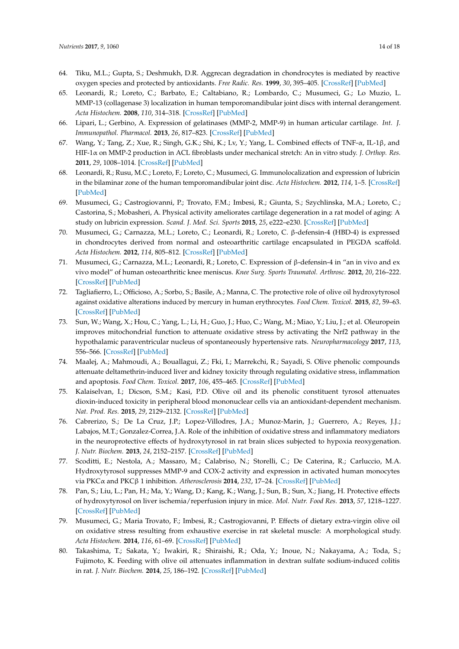- <span id="page-13-0"></span>64. Tiku, M.L.; Gupta, S.; Deshmukh, D.R. Aggrecan degradation in chondrocytes is mediated by reactive oxygen species and protected by antioxidants. *Free Radic. Res.* **1999**, *30*, 395–405. [\[CrossRef\]](http://dx.doi.org/10.1080/10715769900300431) [\[PubMed\]](http://www.ncbi.nlm.nih.gov/pubmed/10342332)
- 65. Leonardi, R.; Loreto, C.; Barbato, E.; Caltabiano, R.; Lombardo, C.; Musumeci, G.; Lo Muzio, L. MMP-13 (collagenase 3) localization in human temporomandibular joint discs with internal derangement. *Acta Histochem.* **2008**, *110*, 314–318. [\[CrossRef\]](http://dx.doi.org/10.1016/j.acthis.2007.11.010) [\[PubMed\]](http://www.ncbi.nlm.nih.gov/pubmed/18262231)
- <span id="page-13-1"></span>66. Lipari, L.; Gerbino, A. Expression of gelatinases (MMP-2, MMP-9) in human articular cartilage. *Int. J. Immunopathol. Pharmacol.* **2013**, *26*, 817–823. [\[CrossRef\]](http://dx.doi.org/10.1177/039463201302600331) [\[PubMed\]](http://www.ncbi.nlm.nih.gov/pubmed/24067484)
- <span id="page-13-2"></span>67. Wang, Y.; Tang, Z.; Xue, R.; Singh, G.K.; Shi, K.; Lv, Y.; Yang, L. Combined effects of TNF-α, IL-1β, and HIF-1α on MMP-2 production in ACL fibroblasts under mechanical stretch: An in vitro study. *J. Orthop. Res.* **2011**, *29*, 1008–1014. [\[CrossRef\]](http://dx.doi.org/10.1002/jor.21349) [\[PubMed\]](http://www.ncbi.nlm.nih.gov/pubmed/21344498)
- <span id="page-13-3"></span>68. Leonardi, R.; Rusu, M.C.; Loreto, F.; Loreto, C.; Musumeci, G. Immunolocalization and expression of lubricin in the bilaminar zone of the human temporomandibular joint disc. *Acta Histochem.* **2012**, *114*, 1–5. [\[CrossRef\]](http://dx.doi.org/10.1016/j.acthis.2010.11.011) [\[PubMed\]](http://www.ncbi.nlm.nih.gov/pubmed/21955422)
- <span id="page-13-4"></span>69. Musumeci, G.; Castrogiovanni, P.; Trovato, F.M.; Imbesi, R.; Giunta, S.; Szychlinska, M.A.; Loreto, C.; Castorina, S.; Mobasheri, A. Physical activity ameliorates cartilage degeneration in a rat model of aging: A study on lubricin expression. *Scand. J. Med. Sci. Sports* **2015**, *25*, e222–e230. [\[CrossRef\]](http://dx.doi.org/10.1111/sms.12290) [\[PubMed\]](http://www.ncbi.nlm.nih.gov/pubmed/25039883)
- <span id="page-13-5"></span>70. Musumeci, G.; Carnazza, M.L.; Loreto, C.; Leonardi, R.; Loreto, C. β-defensin-4 (HBD-4) is expressed in chondrocytes derived from normal and osteoarthritic cartilage encapsulated in PEGDA scaffold. *Acta Histochem.* **2012**, *114*, 805–812. [\[CrossRef\]](http://dx.doi.org/10.1016/j.acthis.2012.02.001) [\[PubMed\]](http://www.ncbi.nlm.nih.gov/pubmed/22564496)
- <span id="page-13-6"></span>71. Musumeci, G.; Carnazza, M.L.; Leonardi, R.; Loreto, C. Expression of β-defensin-4 in "an in vivo and ex vivo model" of human osteoarthritic knee meniscus. *Knee Surg. Sports Traumatol. Arthrosc.* **2012**, *20*, 216–222. [\[CrossRef\]](http://dx.doi.org/10.1007/s00167-011-1630-x) [\[PubMed\]](http://www.ncbi.nlm.nih.gov/pubmed/21879330)
- <span id="page-13-7"></span>72. Tagliafierro, L.; Officioso, A.; Sorbo, S.; Basile, A.; Manna, C. The protective role of olive oil hydroxytyrosol against oxidative alterations induced by mercury in human erythrocytes. *Food Chem. Toxicol.* **2015**, *82*, 59–63. [\[CrossRef\]](http://dx.doi.org/10.1016/j.fct.2015.04.029) [\[PubMed\]](http://www.ncbi.nlm.nih.gov/pubmed/25957742)
- 73. Sun, W.; Wang, X.; Hou, C.; Yang, L.; Li, H.; Guo, J.; Huo, C.; Wang, M.; Miao, Y.; Liu, J.; et al. Oleuropein improves mitochondrial function to attenuate oxidative stress by activating the Nrf2 pathway in the hypothalamic paraventricular nucleus of spontaneously hypertensive rats. *Neuropharmacology* **2017**, *113*, 556–566. [\[CrossRef\]](http://dx.doi.org/10.1016/j.neuropharm.2016.11.010) [\[PubMed\]](http://www.ncbi.nlm.nih.gov/pubmed/27847271)
- 74. Maalej, A.; Mahmoudi, A.; Bouallagui, Z.; Fki, I.; Marrekchi, R.; Sayadi, S. Olive phenolic compounds attenuate deltamethrin-induced liver and kidney toxicity through regulating oxidative stress, inflammation and apoptosis. *Food Chem. Toxicol.* **2017**, *106*, 455–465. [\[CrossRef\]](http://dx.doi.org/10.1016/j.fct.2017.06.010) [\[PubMed\]](http://www.ncbi.nlm.nih.gov/pubmed/28595958)
- 75. Kalaiselvan, I.; Dicson, S.M.; Kasi, P.D. Olive oil and its phenolic constituent tyrosol attenuates dioxin-induced toxicity in peripheral blood mononuclear cells via an antioxidant-dependent mechanism. *Nat. Prod. Res.* **2015**, *29*, 2129–2132. [\[CrossRef\]](http://dx.doi.org/10.1080/14786419.2014.989393) [\[PubMed\]](http://www.ncbi.nlm.nih.gov/pubmed/25496362)
- 76. Cabrerizo, S.; De La Cruz, J.P.; Lopez-Villodres, J.A.; Munoz-Marin, J.; Guerrero, A.; Reyes, J.J.; Labajos, M.T.; Gonzalez-Correa, J.A. Role of the inhibition of oxidative stress and inflammatory mediators in the neuroprotective effects of hydroxytyrosol in rat brain slices subjected to hypoxia reoxygenation. *J. Nutr. Biochem.* **2013**, *24*, 2152–2157. [\[CrossRef\]](http://dx.doi.org/10.1016/j.jnutbio.2013.08.007) [\[PubMed\]](http://www.ncbi.nlm.nih.gov/pubmed/24231104)
- 77. Scoditti, E.; Nestola, A.; Massaro, M.; Calabriso, N.; Storelli, C.; De Caterina, R.; Carluccio, M.A. Hydroxytyrosol suppresses MMP-9 and COX-2 activity and expression in activated human monocytes via PKCα and PKCβ 1 inhibition. *Atherosclerosis* **2014**, *232*, 17–24. [\[CrossRef\]](http://dx.doi.org/10.1016/j.atherosclerosis.2013.10.017) [\[PubMed\]](http://www.ncbi.nlm.nih.gov/pubmed/24401212)
- <span id="page-13-8"></span>78. Pan, S.; Liu, L.; Pan, H.; Ma, Y.; Wang, D.; Kang, K.; Wang, J.; Sun, B.; Sun, X.; Jiang, H. Protective effects of hydroxytyrosol on liver ischemia/reperfusion injury in mice. *Mol. Nutr. Food Res.* **2013**, *57*, 1218–1227. [\[CrossRef\]](http://dx.doi.org/10.1002/mnfr.201300010) [\[PubMed\]](http://www.ncbi.nlm.nih.gov/pubmed/23650136)
- <span id="page-13-9"></span>79. Musumeci, G.; Maria Trovato, F.; Imbesi, R.; Castrogiovanni, P. Effects of dietary extra-virgin olive oil on oxidative stress resulting from exhaustive exercise in rat skeletal muscle: A morphological study. *Acta Histochem.* **2014**, *116*, 61–69. [\[CrossRef\]](http://dx.doi.org/10.1016/j.acthis.2013.05.006) [\[PubMed\]](http://www.ncbi.nlm.nih.gov/pubmed/23810034)
- <span id="page-13-10"></span>80. Takashima, T.; Sakata, Y.; Iwakiri, R.; Shiraishi, R.; Oda, Y.; Inoue, N.; Nakayama, A.; Toda, S.; Fujimoto, K. Feeding with olive oil attenuates inflammation in dextran sulfate sodium-induced colitis in rat. *J. Nutr. Biochem.* **2014**, *25*, 186–192. [\[CrossRef\]](http://dx.doi.org/10.1016/j.jnutbio.2013.10.005) [\[PubMed\]](http://www.ncbi.nlm.nih.gov/pubmed/24445043)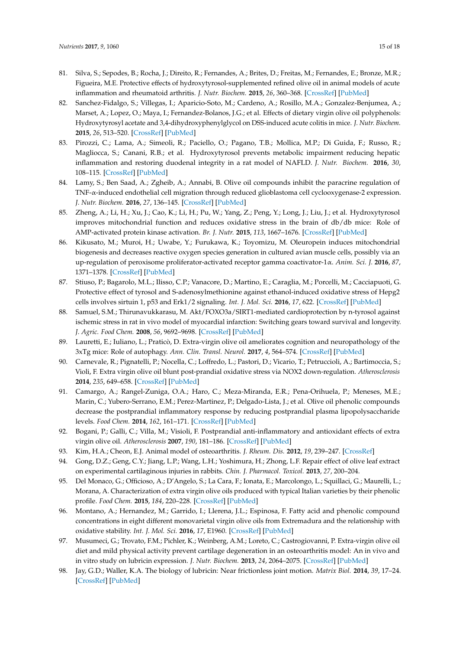- 81. Silva, S.; Sepodes, B.; Rocha, J.; Direito, R.; Fernandes, A.; Brites, D.; Freitas, M.; Fernandes, E.; Bronze, M.R.; Figueira, M.E. Protective effects of hydroxytyrosol-supplemented refined olive oil in animal models of acute inflammation and rheumatoid arthritis. *J. Nutr. Biochem.* **2015**, *26*, 360–368. [\[CrossRef\]](http://dx.doi.org/10.1016/j.jnutbio.2014.11.011) [\[PubMed\]](http://www.ncbi.nlm.nih.gov/pubmed/25620693)
- 82. Sanchez-Fidalgo, S.; Villegas, I.; Aparicio-Soto, M.; Cardeno, A.; Rosillo, M.A.; Gonzalez-Benjumea, A.; Marset, A.; Lopez, O.; Maya, I.; Fernandez-Bolanos, J.G.; et al. Effects of dietary virgin olive oil polyphenols: Hydroxytyrosyl acetate and 3,4-dihydroxyphenylglycol on DSS-induced acute colitis in mice. *J. Nutr. Biochem.* **2015**, *26*, 513–520. [\[CrossRef\]](http://dx.doi.org/10.1016/j.jnutbio.2014.12.001) [\[PubMed\]](http://www.ncbi.nlm.nih.gov/pubmed/25736481)
- 83. Pirozzi, C.; Lama, A.; Simeoli, R.; Paciello, O.; Pagano, T.B.; Mollica, M.P.; Di Guida, F.; Russo, R.; Magliocca, S.; Canani, R.B.; et al. Hydroxytyrosol prevents metabolic impairment reducing hepatic inflammation and restoring duodenal integrity in a rat model of NAFLD. *J. Nutr. Biochem.* **2016**, *30*, 108–115. [\[CrossRef\]](http://dx.doi.org/10.1016/j.jnutbio.2015.12.004) [\[PubMed\]](http://www.ncbi.nlm.nih.gov/pubmed/27012627)
- <span id="page-14-0"></span>84. Lamy, S.; Ben Saad, A.; Zgheib, A.; Annabi, B. Olive oil compounds inhibit the paracrine regulation of TNF-α-induced endothelial cell migration through reduced glioblastoma cell cyclooxygenase-2 expression. *J. Nutr. Biochem.* **2016**, *27*, 136–145. [\[CrossRef\]](http://dx.doi.org/10.1016/j.jnutbio.2015.08.026) [\[PubMed\]](http://www.ncbi.nlm.nih.gov/pubmed/26410343)
- <span id="page-14-1"></span>85. Zheng, A.; Li, H.; Xu, J.; Cao, K.; Li, H.; Pu, W.; Yang, Z.; Peng, Y.; Long, J.; Liu, J.; et al. Hydroxytyrosol improves mitochondrial function and reduces oxidative stress in the brain of db/db mice: Role of AMP-activated protein kinase activation. *Br. J. Nutr.* **2015**, *113*, 1667–1676. [\[CrossRef\]](http://dx.doi.org/10.1017/S0007114515000884) [\[PubMed\]](http://www.ncbi.nlm.nih.gov/pubmed/25885653)
- <span id="page-14-2"></span>86. Kikusato, M.; Muroi, H.; Uwabe, Y.; Furukawa, K.; Toyomizu, M. Oleuropein induces mitochondrial biogenesis and decreases reactive oxygen species generation in cultured avian muscle cells, possibly via an up-regulation of peroxisome proliferator-activated receptor gamma coactivator-1α. *Anim. Sci. J.* **2016**, *87*, 1371–1378. [\[CrossRef\]](http://dx.doi.org/10.1111/asj.12559) [\[PubMed\]](http://www.ncbi.nlm.nih.gov/pubmed/26916829)
- <span id="page-14-3"></span>87. Stiuso, P.; Bagarolo, M.L.; Ilisso, C.P.; Vanacore, D.; Martino, E.; Caraglia, M.; Porcelli, M.; Cacciapuoti, G. Protective effect of tyrosol and S-adenosylmethionine against ethanol-induced oxidative stress of Hepg2 cells involves sirtuin 1, p53 and Erk1/2 signaling. *Int. J. Mol. Sci.* **2016**, *17*, 622. [\[CrossRef\]](http://dx.doi.org/10.3390/ijms17050622) [\[PubMed\]](http://www.ncbi.nlm.nih.gov/pubmed/27128904)
- <span id="page-14-4"></span>88. Samuel, S.M.; Thirunavukkarasu, M. Akt/FOXO3a/SIRT1-mediated cardioprotection by n-tyrosol against ischemic stress in rat in vivo model of myocardial infarction: Switching gears toward survival and longevity. *J. Agric. Food Chem.* **2008**, *56*, 9692–9698. [\[CrossRef\]](http://dx.doi.org/10.1021/jf802050h) [\[PubMed\]](http://www.ncbi.nlm.nih.gov/pubmed/18826227)
- <span id="page-14-5"></span>89. Lauretti, E.; Iuliano, L.; Praticò, D. Extra-virgin olive oil ameliorates cognition and neuropathology of the 3xTg mice: Role of autophagy. *Ann. Clin. Transl. Neurol.* **2017**, *4*, 564–574. [\[CrossRef\]](http://dx.doi.org/10.1002/acn3.431) [\[PubMed\]](http://www.ncbi.nlm.nih.gov/pubmed/28812046)
- <span id="page-14-6"></span>90. Carnevale, R.; Pignatelli, P.; Nocella, C.; Loffredo, L.; Pastori, D.; Vicario, T.; Petruccioli, A.; Bartimoccia, S.; Violi, F. Extra virgin olive oil blunt post-prandial oxidative stress via NOX2 down-regulation. *Atherosclerosis* **2014**, *235*, 649–658. [\[CrossRef\]](http://dx.doi.org/10.1016/j.atherosclerosis.2014.05.954) [\[PubMed\]](http://www.ncbi.nlm.nih.gov/pubmed/24980290)
- 91. Camargo, A.; Rangel-Zuniga, O.A.; Haro, C.; Meza-Miranda, E.R.; Pena-Orihuela, P.; Meneses, M.E.; Marin, C.; Yubero-Serrano, E.M.; Perez-Martinez, P.; Delgado-Lista, J.; et al. Olive oil phenolic compounds decrease the postprandial inflammatory response by reducing postprandial plasma lipopolysaccharide levels. *Food Chem.* **2014**, *162*, 161–171. [\[CrossRef\]](http://dx.doi.org/10.1016/j.foodchem.2014.04.047) [\[PubMed\]](http://www.ncbi.nlm.nih.gov/pubmed/24874372)
- <span id="page-14-7"></span>92. Bogani, P.; Galli, C.; Villa, M.; Visioli, F. Postprandial anti-inflammatory and antioxidant effects of extra virgin olive oil. *Atherosclerosis* **2007**, *190*, 181–186. [\[CrossRef\]](http://dx.doi.org/10.1016/j.atherosclerosis.2006.01.011) [\[PubMed\]](http://www.ncbi.nlm.nih.gov/pubmed/16488419)
- <span id="page-14-8"></span>93. Kim, H.A.; Cheon, E.J. Animal model of osteoarthritis. *J. Rheum. Dis.* **2012**, *19*, 239–247. [\[CrossRef\]](http://dx.doi.org/10.4078/jrd.2012.19.5.239)
- <span id="page-14-9"></span>94. Gong, D.Z.; Geng, C.Y.; Jiang, L.P.; Wang, L.H.; Yoshimura, H.; Zhong, L.F. Repair effect of olive leaf extract on experimental cartilaginous injuries in rabbits. *Chin. J. Pharmacol. Toxicol.* **2013**, *27*, 200–204.
- <span id="page-14-10"></span>95. Del Monaco, G.; Officioso, A.; D'Angelo, S.; La Cara, F.; Ionata, E.; Marcolongo, L.; Squillaci, G.; Maurelli, L.; Morana, A. Characterization of extra virgin olive oils produced with typical Italian varieties by their phenolic profile. *Food Chem.* **2015**, *184*, 220–228. [\[CrossRef\]](http://dx.doi.org/10.1016/j.foodchem.2015.03.071) [\[PubMed\]](http://www.ncbi.nlm.nih.gov/pubmed/25872448)
- <span id="page-14-11"></span>96. Montano, A.; Hernandez, M.; Garrido, I.; Llerena, J.L.; Espinosa, F. Fatty acid and phenolic compound concentrations in eight different monovarietal virgin olive oils from Extremadura and the relationship with oxidative stability. *Int. J. Mol. Sci.* **2016**, *17*, E1960. [\[CrossRef\]](http://dx.doi.org/10.3390/ijms17111960) [\[PubMed\]](http://www.ncbi.nlm.nih.gov/pubmed/27886101)
- <span id="page-14-12"></span>97. Musumeci, G.; Trovato, F.M.; Pichler, K.; Weinberg, A.M.; Loreto, C.; Castrogiovanni, P. Extra-virgin olive oil diet and mild physical activity prevent cartilage degeneration in an osteoarthritis model: An in vivo and in vitro study on lubricin expression. *J. Nutr. Biochem.* **2013**, *24*, 2064–2075. [\[CrossRef\]](http://dx.doi.org/10.1016/j.jnutbio.2013.07.007) [\[PubMed\]](http://www.ncbi.nlm.nih.gov/pubmed/24369033)
- <span id="page-14-13"></span>98. Jay, G.D.; Waller, K.A. The biology of lubricin: Near frictionless joint motion. *Matrix Biol.* **2014**, *39*, 17–24. [\[CrossRef\]](http://dx.doi.org/10.1016/j.matbio.2014.08.008) [\[PubMed\]](http://www.ncbi.nlm.nih.gov/pubmed/25172828)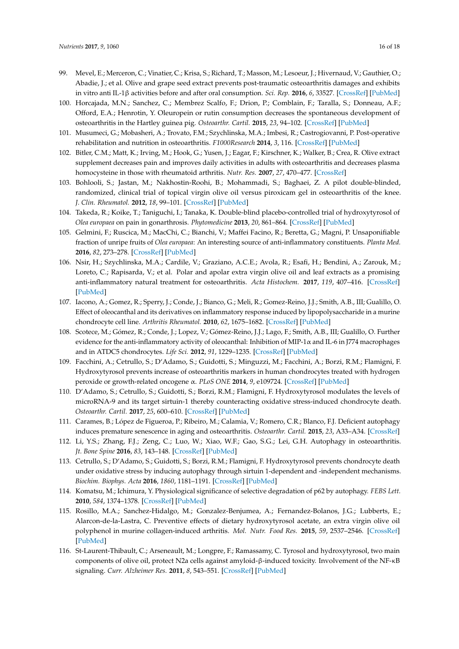- <span id="page-15-0"></span>99. Mevel, E.; Merceron, C.; Vinatier, C.; Krisa, S.; Richard, T.; Masson, M.; Lesoeur, J.; Hivernaud, V.; Gauthier, O.; Abadie, J.; et al. Olive and grape seed extract prevents post-traumatic osteoarthritis damages and exhibits in vitro anti IL-1β activities before and after oral consumption. *Sci. Rep.* **2016**, *6*, 33527. [\[CrossRef\]](http://dx.doi.org/10.1038/srep33527) [\[PubMed\]](http://www.ncbi.nlm.nih.gov/pubmed/27640363)
- <span id="page-15-1"></span>100. Horcajada, M.N.; Sanchez, C.; Membrez Scalfo, F.; Drion, P.; Comblain, F.; Taralla, S.; Donneau, A.F.; Offord, E.A.; Henrotin, Y. Oleuropein or rutin consumption decreases the spontaneous development of osteoarthritis in the Hartley guinea pig. *Osteoarthr. Cartil.* **2015**, *23*, 94–102. [\[CrossRef\]](http://dx.doi.org/10.1016/j.joca.2014.08.016) [\[PubMed\]](http://www.ncbi.nlm.nih.gov/pubmed/25219641)
- <span id="page-15-2"></span>101. Musumeci, G.; Mobasheri, A.; Trovato, F.M.; Szychlinska, M.A.; Imbesi, R.; Castrogiovanni, P. Post-operative rehabilitation and nutrition in osteoarthritis. *F1000Research* **2014**, *3*, 116. [\[CrossRef\]](http://dx.doi.org/10.12688/f1000research.4178.3) [\[PubMed\]](http://www.ncbi.nlm.nih.gov/pubmed/26962431)
- <span id="page-15-3"></span>102. Bitler, C.M.; Matt, K.; Irving, M.; Hook, G.; Yusen, J.; Eagar, F.; Kirschner, K.; Walker, B.; Crea, R. Olive extract supplement decreases pain and improves daily activities in adults with osteoarthritis and decreases plasma homocysteine in those with rheumatoid arthritis. *Nutr. Res.* **2007**, *27*, 470–477. [\[CrossRef\]](http://dx.doi.org/10.1016/j.nutres.2007.06.003)
- <span id="page-15-6"></span>103. Bohlooli, S.; Jastan, M.; Nakhostin-Roohi, B.; Mohammadi, S.; Baghaei, Z. A pilot double-blinded, randomized, clinical trial of topical virgin olive oil versus piroxicam gel in osteoarthritis of the knee. *J. Clin. Rheumatol.* **2012**, *18*, 99–101. [\[CrossRef\]](http://dx.doi.org/10.1097/RHU.0b013e31824a47b5) [\[PubMed\]](http://www.ncbi.nlm.nih.gov/pubmed/22334264)
- <span id="page-15-4"></span>104. Takeda, R.; Koike, T.; Taniguchi, I.; Tanaka, K. Double-blind placebo-controlled trial of hydroxytyrosol of *Olea europaea* on pain in gonarthrosis. *Phytomedicine* **2013**, *20*, 861–864. [\[CrossRef\]](http://dx.doi.org/10.1016/j.phymed.2013.03.021) [\[PubMed\]](http://www.ncbi.nlm.nih.gov/pubmed/23746949)
- <span id="page-15-5"></span>105. Gelmini, F.; Ruscica, M.; MacChi, C.; Bianchi, V.; Maffei Facino, R.; Beretta, G.; Magni, P. Unsaponifiable fraction of unripe fruits of *Olea europaea*: An interesting source of anti-inflammatory constituents. *Planta Med.* **2016**, *82*, 273–278. [\[CrossRef\]](http://dx.doi.org/10.1055/s-0035-1558155) [\[PubMed\]](http://www.ncbi.nlm.nih.gov/pubmed/26544118)
- <span id="page-15-7"></span>106. Nsir, H.; Szychlinska, M.A.; Cardile, V.; Graziano, A.C.E.; Avola, R.; Esafi, H.; Bendini, A.; Zarouk, M.; Loreto, C.; Rapisarda, V.; et al. Polar and apolar extra virgin olive oil and leaf extracts as a promising anti-inflammatory natural treatment for osteoarthritis. *Acta Histochem.* **2017**, *119*, 407–416. [\[CrossRef\]](http://dx.doi.org/10.1016/j.acthis.2017.04.005) [\[PubMed\]](http://www.ncbi.nlm.nih.gov/pubmed/28461019)
- <span id="page-15-8"></span>107. Iacono, A.; Gomez, R.; Sperry, J.; Conde, J.; Bianco, G.; Meli, R.; Gomez-Reino, J.J.; Smith, A.B., III; Gualillo, O. Effect of oleocanthal and its derivatives on inflammatory response induced by lipopolysaccharide in a murine chondrocyte cell line. *Arthritis Rheumatol.* **2010**, *62*, 1675–1682. [\[CrossRef\]](http://dx.doi.org/10.1002/art.27437) [\[PubMed\]](http://www.ncbi.nlm.nih.gov/pubmed/20201078)
- <span id="page-15-9"></span>108. Scotece, M.; Gómez, R.; Conde, J.; Lopez, V.; Gómez-Reino, J.J.; Lago, F.; Smith, A.B., III; Gualillo, O. Further evidence for the anti-inflammatory activity of oleocanthal: Inhibition of MIP-1α and IL-6 in J774 macrophages and in ATDC5 chondrocytes. *Life Sci.* **2012**, *91*, 1229–1235. [\[CrossRef\]](http://dx.doi.org/10.1016/j.lfs.2012.09.012) [\[PubMed\]](http://www.ncbi.nlm.nih.gov/pubmed/23044226)
- <span id="page-15-10"></span>109. Facchini, A.; Cetrullo, S.; D'Adamo, S.; Guidotti, S.; Minguzzi, M.; Facchini, A.; Borzi, R.M.; Flamigni, F. Hydroxytyrosol prevents increase of osteoarthritis markers in human chondrocytes treated with hydrogen peroxide or growth-related oncogene α. *PLoS ONE* **2014**, *9*, e109724. [\[CrossRef\]](http://dx.doi.org/10.1371/journal.pone.0109724) [\[PubMed\]](http://www.ncbi.nlm.nih.gov/pubmed/25279550)
- <span id="page-15-11"></span>110. D'Adamo, S.; Cetrullo, S.; Guidotti, S.; Borzi, R.M.; Flamigni, F. Hydroxytyrosol modulates the levels of microRNA-9 and its target sirtuin-1 thereby counteracting oxidative stress-induced chondrocyte death. *Osteoarthr. Cartil.* **2017**, *25*, 600–610. [\[CrossRef\]](http://dx.doi.org/10.1016/j.joca.2016.11.014) [\[PubMed\]](http://www.ncbi.nlm.nih.gov/pubmed/27914878)
- <span id="page-15-12"></span>111. Carames, B.; López de Figueroa, P.; Ribeiro, M.; Calamia, V.; Romero, C.R.; Blanco, F.J. Deficient autophagy induces premature senescence in aging and osteoarthritis. *Osteoarthr. Cartil.* **2015**, *23*, A33–A34. [\[CrossRef\]](http://dx.doi.org/10.1016/j.joca.2015.02.079)
- <span id="page-15-13"></span>112. Li, Y.S.; Zhang, F.J.; Zeng, C.; Luo, W.; Xiao, W.F.; Gao, S.G.; Lei, G.H. Autophagy in osteoarthritis. *Jt. Bone Spine* **2016**, *83*, 143–148. [\[CrossRef\]](http://dx.doi.org/10.1016/j.jbspin.2015.06.009) [\[PubMed\]](http://www.ncbi.nlm.nih.gov/pubmed/26453105)
- <span id="page-15-14"></span>113. Cetrullo, S.; D'Adamo, S.; Guidotti, S.; Borzi, R.M.; Flamigni, F. Hydroxytyrosol prevents chondrocyte death under oxidative stress by inducing autophagy through sirtuin 1-dependent and -independent mechanisms. *Biochim. Biophys. Acta* **2016**, *1860*, 1181–1191. [\[CrossRef\]](http://dx.doi.org/10.1016/j.bbagen.2016.03.002) [\[PubMed\]](http://www.ncbi.nlm.nih.gov/pubmed/26947008)
- <span id="page-15-15"></span>114. Komatsu, M.; Ichimura, Y. Physiological significance of selective degradation of p62 by autophagy. *FEBS Lett.* **2010**, *584*, 1374–1378. [\[CrossRef\]](http://dx.doi.org/10.1016/j.febslet.2010.02.017) [\[PubMed\]](http://www.ncbi.nlm.nih.gov/pubmed/20153326)
- <span id="page-15-16"></span>115. Rosillo, M.A.; Sanchez-Hidalgo, M.; Gonzalez-Benjumea, A.; Fernandez-Bolanos, J.G.; Lubberts, E.; Alarcon-de-la-Lastra, C. Preventive effects of dietary hydroxytyrosol acetate, an extra virgin olive oil polyphenol in murine collagen-induced arthritis. *Mol. Nutr. Food Res.* **2015**, *59*, 2537–2546. [\[CrossRef\]](http://dx.doi.org/10.1002/mnfr.201500304) [\[PubMed\]](http://www.ncbi.nlm.nih.gov/pubmed/26382723)
- <span id="page-15-17"></span>116. St-Laurent-Thibault, C.; Arseneault, M.; Longpre, F.; Ramassamy, C. Tyrosol and hydroxytyrosol, two main components of olive oil, protect N2a cells against amyloid-β-induced toxicity. Involvement of the NF-κB signaling. *Curr. Alzheimer Res.* **2011**, *8*, 543–551. [\[CrossRef\]](http://dx.doi.org/10.2174/156720511796391845) [\[PubMed\]](http://www.ncbi.nlm.nih.gov/pubmed/21605049)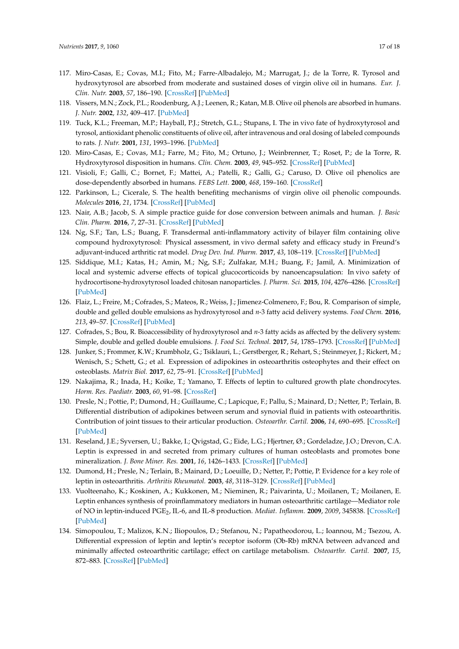- <span id="page-16-0"></span>117. Miro-Casas, E.; Covas, M.I.; Fito, M.; Farre-Albadalejo, M.; Marrugat, J.; de la Torre, R. Tyrosol and hydroxytyrosol are absorbed from moderate and sustained doses of virgin olive oil in humans. *Eur. J. Clin. Nutr.* **2003**, *57*, 186–190. [\[CrossRef\]](http://dx.doi.org/10.1038/sj.ejcn.1601532) [\[PubMed\]](http://www.ncbi.nlm.nih.gov/pubmed/12548315)
- <span id="page-16-1"></span>118. Vissers, M.N.; Zock, P.L.; Roodenburg, A.J.; Leenen, R.; Katan, M.B. Olive oil phenols are absorbed in humans. *J. Nutr.* **2002**, *132*, 409–417. [\[PubMed\]](http://www.ncbi.nlm.nih.gov/pubmed/11880564)
- <span id="page-16-2"></span>119. Tuck, K.L.; Freeman, M.P.; Hayball, P.J.; Stretch, G.L.; Stupans, I. The in vivo fate of hydroxytyrosol and tyrosol, antioxidant phenolic constituents of olive oil, after intravenous and oral dosing of labeled compounds to rats. *J. Nutr.* **2001**, *131*, 1993–1996. [\[PubMed\]](http://www.ncbi.nlm.nih.gov/pubmed/11435519)
- <span id="page-16-3"></span>120. Miro-Casas, E.; Covas, M.I.; Farre, M.; Fito, M.; Ortuno, J.; Weinbrenner, T.; Roset, P.; de la Torre, R. Hydroxytyrosol disposition in humans. *Clin. Chem.* **2003**, *49*, 945–952. [\[CrossRef\]](http://dx.doi.org/10.1373/49.6.945) [\[PubMed\]](http://www.ncbi.nlm.nih.gov/pubmed/12765992)
- <span id="page-16-4"></span>121. Visioli, F.; Galli, C.; Bornet, F.; Mattei, A.; Patelli, R.; Galli, G.; Caruso, D. Olive oil phenolics are dose-dependently absorbed in humans. *FEBS Lett.* **2000**, *468*, 159–160. [\[CrossRef\]](http://dx.doi.org/10.1016/S0014-5793(00)01216-3)
- <span id="page-16-5"></span>122. Parkinson, L.; Cicerale, S. The health benefiting mechanisms of virgin olive oil phenolic compounds. *Molecules* **2016**, *21*, 1734. [\[CrossRef\]](http://dx.doi.org/10.3390/molecules21121734) [\[PubMed\]](http://www.ncbi.nlm.nih.gov/pubmed/27999296)
- <span id="page-16-6"></span>123. Nair, A.B.; Jacob, S. A simple practice guide for dose conversion between animals and human. *J. Basic Clin. Pharm.* **2016**, *7*, 27–31. [\[CrossRef\]](http://dx.doi.org/10.4103/0976-0105.177703) [\[PubMed\]](http://www.ncbi.nlm.nih.gov/pubmed/27057123)
- <span id="page-16-7"></span>124. Ng, S.F.; Tan, L.S.; Buang, F. Transdermal anti-inflammatory activity of bilayer film containing olive compound hydroxytyrosol: Physical assessment, in vivo dermal safety and efficacy study in Freund's adjuvant-induced arthritic rat model. *Drug Dev. Ind. Pharm.* **2017**, *43*, 108–119. [\[CrossRef\]](http://dx.doi.org/10.1080/03639045.2016.1224893) [\[PubMed\]](http://www.ncbi.nlm.nih.gov/pubmed/27588411)
- <span id="page-16-8"></span>125. Siddique, M.I.; Katas, H.; Amin, M.; Ng, S.F.; Zulfakar, M.H.; Buang, F.; Jamil, A. Minimization of local and systemic adverse effects of topical glucocorticoids by nanoencapsulation: In vivo safety of hydrocortisone-hydroxytyrosol loaded chitosan nanoparticles. *J. Pharm. Sci.* **2015**, *104*, 4276–4286. [\[CrossRef\]](http://dx.doi.org/10.1002/jps.24666) [\[PubMed\]](http://www.ncbi.nlm.nih.gov/pubmed/26447747)
- <span id="page-16-9"></span>126. Flaiz, L.; Freire, M.; Cofrades, S.; Mateos, R.; Weiss, J.; Jimenez-Colmenero, F.; Bou, R. Comparison of simple, double and gelled double emulsions as hydroxytyrosol and *n*-3 fatty acid delivery systems. *Food Chem.* **2016**, *213*, 49–57. [\[CrossRef\]](http://dx.doi.org/10.1016/j.foodchem.2016.06.005) [\[PubMed\]](http://www.ncbi.nlm.nih.gov/pubmed/27451154)
- <span id="page-16-10"></span>127. Cofrades, S.; Bou, R. Bioaccessibility of hydroxytyrosol and *n*-3 fatty acids as affected by the delivery system: Simple, double and gelled double emulsions. *J. Food Sci. Technol.* **2017**, *54*, 1785–1793. [\[CrossRef\]](http://dx.doi.org/10.1007/s13197-017-2604-x) [\[PubMed\]](http://www.ncbi.nlm.nih.gov/pubmed/28720933)
- <span id="page-16-11"></span>128. Junker, S.; Frommer, K.W.; Krumbholz, G.; Tsiklauri, L.; Gerstberger, R.; Rehart, S.; Steinmeyer, J.; Rickert, M.; Wenisch, S.; Schett, G.; et al. Expression of adipokines in osteoarthritis osteophytes and their effect on osteoblasts. *Matrix Biol.* **2017**, *62*, 75–91. [\[CrossRef\]](http://dx.doi.org/10.1016/j.matbio.2016.11.005) [\[PubMed\]](http://www.ncbi.nlm.nih.gov/pubmed/27884778)
- <span id="page-16-14"></span>129. Nakajima, R.; Inada, H.; Koike, T.; Yamano, T. Effects of leptin to cultured growth plate chondrocytes. *Horm. Res. Paediatr.* **2003**, *60*, 91–98. [\[CrossRef\]](http://dx.doi.org/10.1159/000071877)
- <span id="page-16-12"></span>130. Presle, N.; Pottie, P.; Dumond, H.; Guillaume, C.; Lapicque, F.; Pallu, S.; Mainard, D.; Netter, P.; Terlain, B. Differential distribution of adipokines between serum and synovial fluid in patients with osteoarthritis. Contribution of joint tissues to their articular production. *Osteoarthr. Cartil.* **2006**, *14*, 690–695. [\[CrossRef\]](http://dx.doi.org/10.1016/j.joca.2006.01.009) [\[PubMed\]](http://www.ncbi.nlm.nih.gov/pubmed/16527497)
- <span id="page-16-13"></span>131. Reseland, J.E.; Syversen, U.; Bakke, I.; Qvigstad, G.; Eide, L.G.; Hjertner, Ø.; Gordeladze, J.O.; Drevon, C.A. Leptin is expressed in and secreted from primary cultures of human osteoblasts and promotes bone mineralization. *J. Bone Miner. Res.* **2001**, *16*, 1426–1433. [\[CrossRef\]](http://dx.doi.org/10.1359/jbmr.2001.16.8.1426) [\[PubMed\]](http://www.ncbi.nlm.nih.gov/pubmed/11499865)
- <span id="page-16-15"></span>132. Dumond, H.; Presle, N.; Terlain, B.; Mainard, D.; Loeuille, D.; Netter, P.; Pottie, P. Evidence for a key role of leptin in osteoarthritis. *Arthritis Rheumatol.* **2003**, *48*, 3118–3129. [\[CrossRef\]](http://dx.doi.org/10.1002/art.11303) [\[PubMed\]](http://www.ncbi.nlm.nih.gov/pubmed/14613274)
- <span id="page-16-16"></span>133. Vuolteenaho, K.; Koskinen, A.; Kukkonen, M.; Nieminen, R.; Paivarinta, U.; Moilanen, T.; Moilanen, E. Leptin enhances synthesis of proinflammatory mediators in human osteoarthritic cartilage—Mediator role of NO in leptin-induced PGE<sup>2</sup> , IL-6, and IL-8 production. *Mediat. Inflamm.* **2009**, *2009*, 345838. [\[CrossRef\]](http://dx.doi.org/10.1155/2009/345838) [\[PubMed\]](http://www.ncbi.nlm.nih.gov/pubmed/19688109)
- <span id="page-16-17"></span>134. Simopoulou, T.; Malizos, K.N.; Iliopoulos, D.; Stefanou, N.; Papatheodorou, L.; Ioannou, M.; Tsezou, A. Differential expression of leptin and leptin's receptor isoform (Ob-Rb) mRNA between advanced and minimally affected osteoarthritic cartilage; effect on cartilage metabolism. *Osteoarthr. Cartil.* **2007**, *15*, 872–883. [\[CrossRef\]](http://dx.doi.org/10.1016/j.joca.2007.01.018) [\[PubMed\]](http://www.ncbi.nlm.nih.gov/pubmed/17350295)